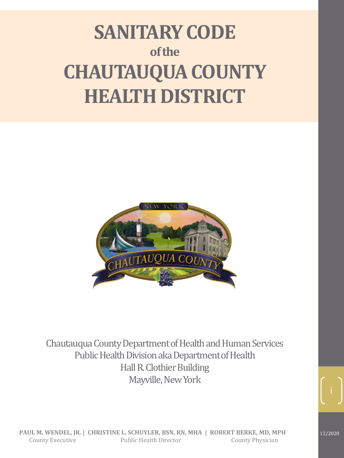# **SANITARY CODE of the CHAUTAUQUA COUNTY HEALTH DISTRICT**



Chautauqua County Department of Health and Human Services Public Health Division aka Department of Health Hall R. Clothier Building Mayville, New York



12/2020

i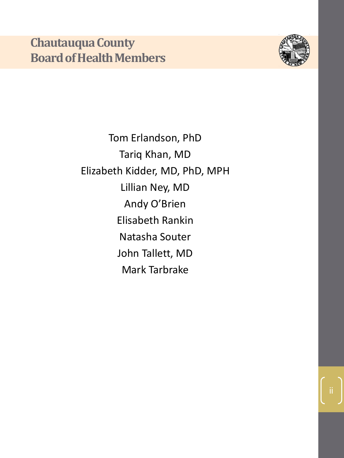

Tom Erlandson, PhD Tariq Khan, MD Elizabeth Kidder, MD, PhD, MPH Lillian Ney, MD Andy O'Brien Elisabeth Rankin Natasha Souter John Tallett, MD Mark Tarbrake

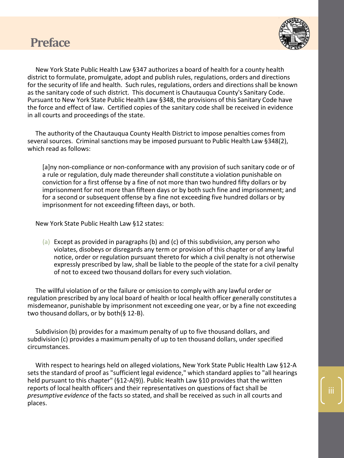



iii

New York State Public Health Law §347 authorizes a board of health for a county health district to formulate, promulgate, adopt and publish rules, regulations, orders and directions for the security of life and health. Such rules, regulations, orders and directions shall be known as the sanitary code of such district. This document is Chautauqua County's Sanitary Code. Pursuant to New York State Public Health Law §348, the provisions of this Sanitary Code have the force and effect of law. Certified copies of the sanitary code shall be received in evidence in all courts and proceedings of the state.

The authority of the Chautauqua County Health District to impose penalties comes from several sources. Criminal sanctions may be imposed pursuant to Public Health Law §348(2), which read as follows:

[a]ny non-compliance or non-conformance with any provision of such sanitary code or of a rule or regulation, duly made thereunder shall constitute a violation punishable on conviction for a first offense by a fine of not more than two hundred fifty dollars or by imprisonment for not more than fifteen days or by both such fine and imprisonment; and for a second or subsequent offense by a fine not exceeding five hundred dollars or by imprisonment for not exceeding fifteen days, or both.

New York State Public Health Law §12 states:

(a) Except as provided in paragraphs (b) and (c) of this subdivision, any person who violates, disobeys or disregards any term or provision of this chapter or of any lawful notice, order or regulation pursuant thereto for which a civil penalty is not otherwise expressly prescribed by law, shall be liable to the people of the state for a civil penalty of not to exceed two thousand dollars for every such violation.

The willful violation of or the failure or omission to comply with any lawful order or regulation prescribed by any local board of health or local health officer generally constitutes a misdemeanor, punishable by imprisonment not exceeding one year, or by a fine not exceeding two thousand dollars, or by both(§ 12-B).

Subdivision (b) provides for a maximum penalty of up to five thousand dollars, and subdivision (c) provides a maximum penalty of up to ten thousand dollars, under specified circumstances.

With respect to hearings held on alleged violations, New York State Public Health Law §12-A sets the standard of proof as "sufficient legal evidence," which standard applies to "all hearings held pursuant to this chapter" (§12-A(9)). Public Health Law §10 provides that the written reports of local health officers and their representatives on questions of fact shall be *presumptive evidence* of the facts so stated, and shall be received as such in all courts and places.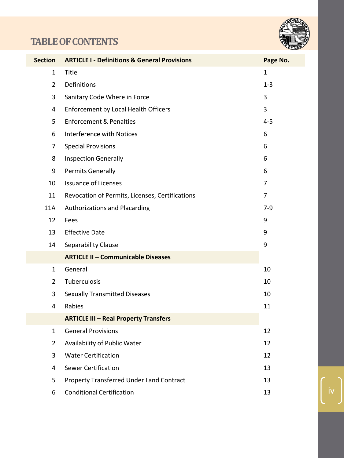# **TABLE OF CONTENTS**



| <b>Section</b> | <b>ARTICLE I - Definitions &amp; General Provisions</b> | Page No.       |
|----------------|---------------------------------------------------------|----------------|
| $\mathbf{1}$   | Title                                                   | $\mathbf{1}$   |
| $\overline{2}$ | Definitions                                             | $1 - 3$        |
| 3              | Sanitary Code Where in Force                            | 3              |
| 4              | <b>Enforcement by Local Health Officers</b>             | 3              |
| 5              | <b>Enforcement &amp; Penalties</b>                      | $4 - 5$        |
| 6              | Interference with Notices                               | 6              |
| $\overline{7}$ | <b>Special Provisions</b>                               | 6              |
| 8              | <b>Inspection Generally</b>                             | 6              |
| 9              | <b>Permits Generally</b>                                | 6              |
| 10             | <b>Issuance of Licenses</b>                             | $\overline{7}$ |
| 11             | Revocation of Permits, Licenses, Certifications         | $\overline{7}$ |
| 11A            | Authorizations and Placarding                           | $7-9$          |
| 12             | Fees                                                    | 9              |
| 13             | <b>Effective Date</b>                                   | 9              |
| 14             | Separability Clause                                     | 9              |
|                | <b>ARTICLE II - Communicable Diseases</b>               |                |
| $\mathbf{1}$   | General                                                 | 10             |
| $\overline{2}$ | Tuberculosis                                            | 10             |
| 3              | <b>Sexually Transmitted Diseases</b>                    | 10             |
| 4              | Rabies                                                  | 11             |
|                | <b>ARTICLE III - Real Property Transfers</b>            |                |
| $\mathbf{1}$   | <b>General Provisions</b>                               | 12             |
| $\overline{2}$ | Availability of Public Water                            | 12             |
| 3              | <b>Water Certification</b>                              | 12             |
| 4              | <b>Sewer Certification</b>                              | 13             |
| 5              | <b>Property Transferred Under Land Contract</b>         | 13             |
| 6              | <b>Conditional Certification</b>                        | 13             |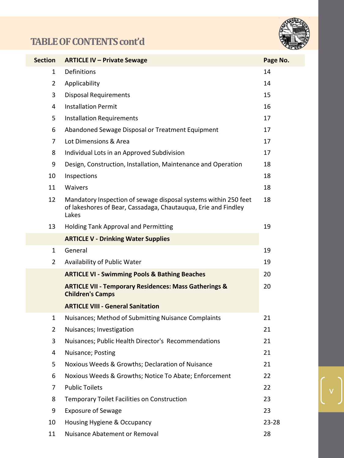# **TABLE OF CONTENTS cont'd**



v

| Section        | <b>ARTICLE IV - Private Sewage</b>                                                                                                         | Page No.  |
|----------------|--------------------------------------------------------------------------------------------------------------------------------------------|-----------|
| 1              | Definitions                                                                                                                                | 14        |
| $\overline{2}$ | Applicability                                                                                                                              | 14        |
| 3              | <b>Disposal Requirements</b>                                                                                                               | 15        |
| 4              | <b>Installation Permit</b>                                                                                                                 | 16        |
| 5              | <b>Installation Requirements</b>                                                                                                           | 17        |
| 6              | Abandoned Sewage Disposal or Treatment Equipment                                                                                           | 17        |
| $\overline{7}$ | Lot Dimensions & Area                                                                                                                      | 17        |
| 8              | Individual Lots in an Approved Subdivision                                                                                                 | 17        |
| 9              | Design, Construction, Installation, Maintenance and Operation                                                                              | 18        |
| 10             | Inspections                                                                                                                                | 18        |
| 11             | Waivers                                                                                                                                    | 18        |
| 12             | Mandatory Inspection of sewage disposal systems within 250 feet<br>of lakeshores of Bear, Cassadaga, Chautauqua, Erie and Findley<br>Lakes | 18        |
| 13             | <b>Holding Tank Approval and Permitting</b>                                                                                                | 19        |
|                | <b>ARTICLE V - Drinking Water Supplies</b>                                                                                                 |           |
| 1              | General                                                                                                                                    | 19        |
| 2              | Availability of Public Water                                                                                                               | 19        |
|                | <b>ARTICLE VI - Swimming Pools &amp; Bathing Beaches</b>                                                                                   | 20        |
|                | <b>ARTICLE VII - Temporary Residences: Mass Gatherings &amp;</b><br><b>Children's Camps</b>                                                | 20        |
|                | <b>ARTICLE VIII - General Sanitation</b>                                                                                                   |           |
| 1              | Nuisances; Method of Submitting Nuisance Complaints                                                                                        | 21        |
| 2              | Nuisances; Investigation                                                                                                                   | 21        |
| 3              | Nuisances; Public Health Director's Recommendations                                                                                        | 21        |
| 4              | Nuisance; Posting                                                                                                                          | 21        |
| 5              | Noxious Weeds & Growths; Declaration of Nuisance                                                                                           | 21        |
| 6              | Noxious Weeds & Growths; Notice To Abate; Enforcement                                                                                      | 22        |
| 7              | <b>Public Toilets</b>                                                                                                                      | 22        |
| 8              | <b>Temporary Toilet Facilities on Construction</b>                                                                                         | 23        |
| 9              | <b>Exposure of Sewage</b>                                                                                                                  | 23        |
| 10             | Housing Hygiene & Occupancy                                                                                                                | $23 - 28$ |
| 11             | Nuisance Abatement or Removal                                                                                                              | 28        |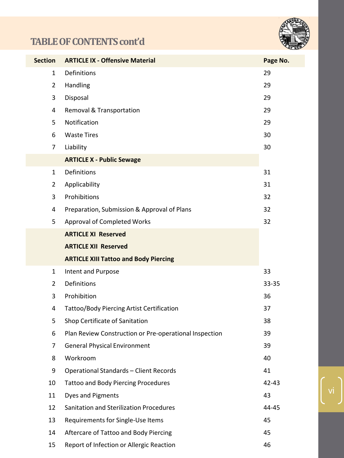# **TABLE OF CONTENTS cont'd**



vi

| <b>Section</b> | <b>ARTICLE IX - Offensive Material</b>                 | Page No. |
|----------------|--------------------------------------------------------|----------|
| 1              | Definitions                                            | 29       |
| $\overline{2}$ | Handling                                               | 29       |
| 3              | Disposal                                               | 29       |
| 4              | Removal & Transportation                               | 29       |
| 5              | Notification                                           | 29       |
| 6              | <b>Waste Tires</b>                                     | 30       |
| 7              | Liability                                              | 30       |
|                | <b>ARTICLE X - Public Sewage</b>                       |          |
| $\mathbf{1}$   | Definitions                                            | 31       |
| 2              | Applicability                                          | 31       |
| 3              | Prohibitions                                           | 32       |
| 4              | Preparation, Submission & Approval of Plans            | 32       |
| 5              | <b>Approval of Completed Works</b>                     | 32       |
|                | <b>ARTICLE XI Reserved</b>                             |          |
|                | <b>ARTICLE XII Reserved</b>                            |          |
|                | <b>ARTICLE XIII Tattoo and Body Piercing</b>           |          |
| $\mathbf{1}$   | Intent and Purpose                                     | 33       |
| $\overline{2}$ | Definitions                                            | 33-35    |
| 3              | Prohibition                                            | 36       |
| 4              | Tattoo/Body Piercing Artist Certification              | 37       |
| 5              | Shop Certificate of Sanitation                         | 38       |
| 6              | Plan Review Construction or Pre-operational Inspection | 39       |
| 7              | <b>General Physical Environment</b>                    | 39       |
| 8              | Workroom                                               | 40       |
| 9              | <b>Operational Standards - Client Records</b>          | 41       |
| 10             | <b>Tattoo and Body Piercing Procedures</b>             | 42-43    |
| 11             | Dyes and Pigments                                      | 43       |
| 12             | <b>Sanitation and Sterilization Procedures</b>         | 44-45    |
| 13             | Requirements for Single-Use Items                      | 45       |
| 14             | Aftercare of Tattoo and Body Piercing                  | 45       |
| 15             | Report of Infection or Allergic Reaction               | 46       |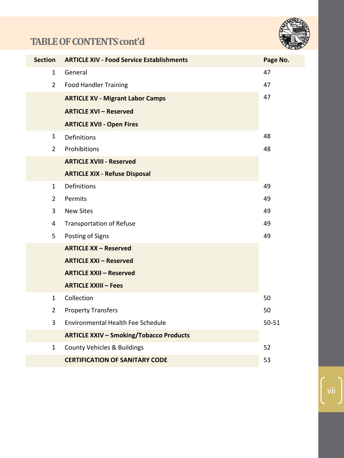# **TABLE OF CONTENTS cont'd**



|                                                               | <b>Section</b> | <b>ARTICLE XIV - Food Service Establishments</b> | Page No.  |
|---------------------------------------------------------------|----------------|--------------------------------------------------|-----------|
|                                                               | $\mathbf{1}$   | General                                          | 47        |
|                                                               | $\overline{2}$ | <b>Food Handler Training</b>                     | 47        |
|                                                               |                | <b>ARTICLE XV - Migrant Labor Camps</b>          | 47        |
|                                                               |                | <b>ARTICLE XVI - Reserved</b>                    |           |
|                                                               |                | <b>ARTICLE XVII - Open Fires</b>                 |           |
|                                                               | $\mathbf{1}$   | <b>Definitions</b>                               | 48        |
|                                                               | $\overline{2}$ | Prohibitions                                     | 48        |
|                                                               |                | <b>ARTICLE XVIII - Reserved</b>                  |           |
|                                                               |                | <b>ARTICLE XIX - Refuse Disposal</b>             |           |
|                                                               | $\mathbf{1}$   | <b>Definitions</b>                               | 49        |
|                                                               | $\overline{2}$ | Permits                                          | 49        |
|                                                               | 3              | <b>New Sites</b>                                 | 49        |
|                                                               | $\overline{a}$ | <b>Transportation of Refuse</b>                  | 49        |
|                                                               | 5              | Posting of Signs                                 | 49        |
| <b>ARTICLE XX - Reserved</b><br><b>ARTICLE XXI - Reserved</b> |                |                                                  |           |
|                                                               |                |                                                  |           |
|                                                               |                | <b>ARTICLE XXII - Reserved</b>                   |           |
|                                                               |                | <b>ARTICLE XXIII - Fees</b>                      |           |
|                                                               | $\mathbf{1}$   | Collection                                       | 50        |
|                                                               | $\overline{2}$ | <b>Property Transfers</b>                        | 50        |
|                                                               | 3              | Environmental Health Fee Schedule                | $50 - 51$ |
|                                                               |                | <b>ARTICLE XXIV - Smoking/Tobacco Products</b>   |           |
|                                                               | $\mathbf{1}$   | <b>County Vehicles &amp; Buildings</b>           | 52        |
|                                                               |                | <b>CERTIFICATION OF SANITARY CODE</b>            | 53        |
|                                                               |                |                                                  |           |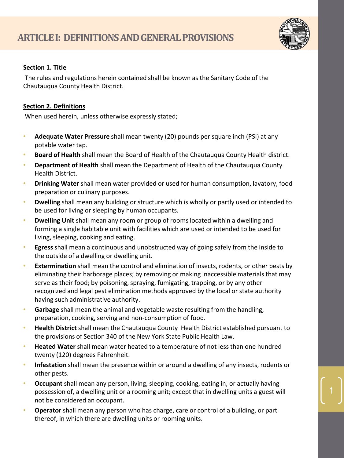

# **Section 1. Title**

The rules and regulations herein contained shall be known as the Sanitary Code of the Chautauqua County Health District.

# **Section 2. Definitions**

When used herein, unless otherwise expressly stated;

- **Adequate Water Pressure** shall mean twenty (20) pounds per square inch (PSI) at any potable water tap.
- **Board of Health** shall mean the Board of Health of the Chautauqua County Health district.
- **Department of Health** shall mean the Department of Health of the Chautauqua County Health District.
- **Drinking Water** shall mean water provided or used for human consumption, lavatory, food preparation or culinary purposes.
- **Dwelling** shall mean any building or structure which is wholly or partly used or intended to be used for living or sleeping by human occupants.
- **Dwelling Unit** shall mean any room or group of rooms located within a dwelling and forming a single habitable unit with facilities which are used or intended to be used for living, sleeping, cooking and eating.
- **Egress**shall mean a continuous and unobstructed way of going safely from the inside to the outside of a dwelling or dwelling unit.
- **Extermination** shall mean the control and elimination of insects, rodents, or other pests by eliminating their harborage places; by removing or making inaccessible materials that may serve as their food; by poisoning, spraying, fumigating, trapping, or by any other recognized and legal pest elimination methods approved by the local or state authority having such administrative authority.
- **Garbage** shall mean the animal and vegetable waste resulting from the handling, preparation, cooking, serving and non-consumption of food.
- **Health District** shall mean the Chautauqua County Health District established pursuant to the provisions of Section 340 of the New York State Public Health Law.
- **Heated Water** shall mean water heated to a temperature of not less than one hundred twenty (120) degrees Fahrenheit.
- **Infestation** shall mean the presence within or around a dwelling of any insects, rodents or other pests.
- **Occupant** shall mean any person, living, sleeping, cooking, eating in, or actually having possession of, a dwelling unit or a rooming unit; except that in dwelling units a guest will not be considered an occupant.
- **Operator** shall mean any person who has charge, care or control of a building, or part thereof, in which there are dwelling units or rooming units.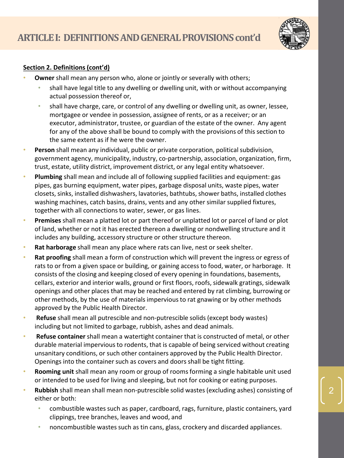

# **Section 2. Definitions (cont'd)**

- **Owner** shall mean any person who, alone or jointly or severally with others;
	- shall have legal title to any dwelling or dwelling unit, with or without accompanying actual possession thereof or,
	- shall have charge, care, or control of any dwelling or dwelling unit, as owner, lessee, mortgagee or vendee in possession, assignee of rents, or as a receiver; or an executor, administrator, trustee, or guardian of the estate of the owner. Any agent for any of the above shall be bound to comply with the provisions of this section to the same extent as if he were the owner.
- **Person** shall mean any individual, public or private corporation, political subdivision, government agency, municipality, industry, co-partnership, association, organization, firm, trust, estate, utility district, improvement district, or any legal entity whatsoever.
- **Plumbing** shall mean and include all of following supplied facilities and equipment: gas pipes, gas burning equipment, water pipes, garbage disposal units, waste pipes, water closets, sinks, installed dishwashers, lavatories, bathtubs, shower baths, installed clothes washing machines, catch basins, drains, vents and any other similar supplied fixtures, together with all connections to water, sewer, or gas lines.
- **Premises** shall mean a platted lot or part thereof or unplatted lot or parcel of land or plot of land, whether or not it has erected thereon a dwelling or nondwelling structure and it includes any building, accessory structure or other structure thereon.
- **Rat harborage** shall mean any place where rats can live, nest or seek shelter.
- **Rat proofing** shall mean a form of construction which will prevent the ingress or egress of rats to or from a given space or building, or gaining access to food, water, or harborage. It consists of the closing and keeping closed of every opening in foundations, basements, cellars, exterior and interior walls, ground or first floors, roofs, sidewalk gratings, sidewalk openings and other places that may be reached and entered by rat climbing, burrowing or other methods, by the use of materials impervious to rat gnawing or by other methods approved by the Public Health Director.
- **Refuse** shall mean all putrescible and non-putrescible solids (except body wastes) including but not limited to garbage, rubbish, ashes and dead animals.
- **Refuse container** shall mean a watertight container that is constructed of metal, or other durable material impervious to rodents, that is capable of being serviced without creating unsanitary conditions, or such other containers approved by the Public Health Director. Openings into the container such as covers and doors shall be tight fitting.
- **Rooming unit** shall mean any room or group of rooms forming a single habitable unit used or intended to be used for living and sleeping, but not for cooking or eating purposes.
- **Rubbish** shall mean shall mean non-putrescible solid wastes (excluding ashes) consisting of either or both:
	- combustible wastes such as paper, cardboard, rags, furniture, plastic containers, yard clippings, tree branches, leaves and wood, and
	- noncombustible wastes such as tin cans, glass, crockery and discarded appliances.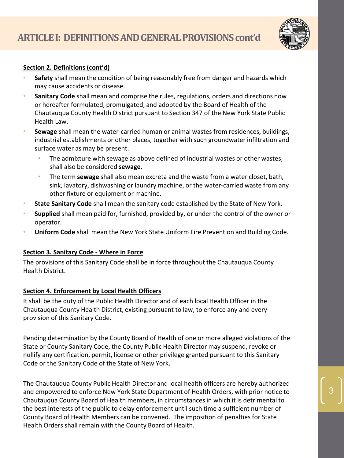

# **Section 2. Definitions (cont'd)**

- **Safety** shall mean the condition of being reasonably free from danger and hazards which may cause accidents or disease.
- **Sanitary Code** shall mean and comprise the rules, regulations, orders and directions now or hereafter formulated, promulgated, and adopted by the Board of Health of the Chautauqua County Health District pursuant to Section 347 of the New York State Public Health Law.
- **Sewage** shall mean the water-carried human or animal wastes from residences, buildings, industrial establishments or other places, together with such groundwater infiltration and surface water as may be present.
	- The admixture with sewage as above defined of industrial wastes or other wastes, shall also be considered **sewage**.
	- The term **sewage** shall also mean excreta and the waste from a water closet, bath, sink, lavatory, dishwashing or laundry machine, or the water-carried waste from any other fixture or equipment or machine.
- **State Sanitary Code** shall mean the sanitary code established by the State of New York.
- **Supplied** shall mean paid for, furnished, provided by, or under the control of the owner or operator.
- **Uniform Code** shall mean the New York State Uniform Fire Prevention and Building Code.

#### **Section 3. Sanitary Code - Where in Force**

The provisions of this Sanitary Code shall be in force throughout the Chautauqua County Health District.

# **Section 4. Enforcement by Local Health Officers**

It shall be the duty of the Public Health Director and of each local Health Officer in the Chautauqua County Health District, existing pursuant to law, to enforce any and every provision of this Sanitary Code.

Pending determination by the County Board of Health of one or more alleged violations of the State or County Sanitary Code, the County Public Health Director may suspend, revoke or nullify any certification, permit, license or other privilege granted pursuant to this Sanitary Code or the Sanitary Code of the State of New York.

The Chautauqua County Public Health Director and local health officers are hereby authorized and empowered to enforce New York State Department of Health Orders, with prior notice to Chautauqua County Board of Health members, in circumstances in which it is detrimental to the best interests of the public to delay enforcement until such time a sufficient number of County Board of Health Members can be convened. The imposition of penalties for State Health Orders shall remain with the County Board of Health.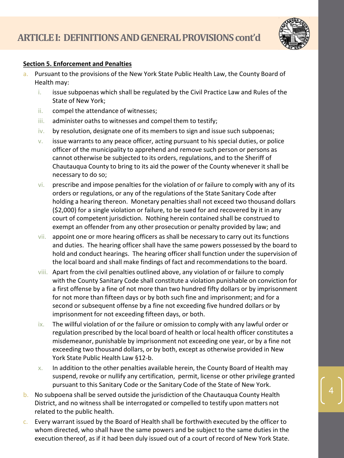

#### **Section 5. Enforcement and Penalties**

- a. Pursuant to the provisions of the New York State Public Health Law, the County Board of Health may:
	- i. issue subpoenas which shall be regulated by the Civil Practice Law and Rules of the State of New York;
	- ii. compel the attendance of witnesses;
	- iii. administer oaths to witnesses and compel them to testify;
	- iv. by resolution, designate one of its members to sign and issue such subpoenas;
	- v. issue warrants to any peace officer, acting pursuant to his special duties, or police officer of the municipality to apprehend and remove such person or persons as cannot otherwise be subjected to its orders, regulations, and to the Sheriff of Chautauqua County to bring to its aid the power of the County whenever it shall be necessary to do so;
	- $vi.$  prescribe and impose penalties for the violation of or failure to comply with any of its orders or regulations, or any of the regulations of the State Sanitary Code after holding a hearing thereon. Monetary penalties shall not exceed two thousand dollars (\$2,000) for a single violation or failure, to be sued for and recovered by it in any court of competent jurisdiction. Nothing herein contained shall be construed to exempt an offender from any other prosecution or penalty provided by law; and
	- vii. appoint one or more hearing officers as shall be necessary to carry out its functions and duties. The hearing officer shall have the same powers possessed by the board to hold and conduct hearings. The hearing officer shall function under the supervision of the local board and shall make findings of fact and recommendations to the board.
	- viii. Apart from the civil penalties outlined above, any violation of or failure to comply with the County Sanitary Code shall constitute a violation punishable on conviction for a first offense by a fine of not more than two hundred fifty dollars or by imprisonment for not more than fifteen days or by both such fine and imprisonment; and for a second or subsequent offense by a fine not exceeding five hundred dollars or by imprisonment for not exceeding fifteen days, or both.
	- ix. The willful violation of or the failure or omission to comply with any lawful order or regulation prescribed by the local board of health or local health officer constitutes a misdemeanor, punishable by imprisonment not exceeding one year, or by a fine not exceeding two thousand dollars, or by both, except as otherwise provided in New York State Public Health Law §12-b.
	- $x.$  In addition to the other penalties available herein, the County Board of Health may suspend, revoke or nullify any certification, permit, license or other privilege granted pursuant to this Sanitary Code or the Sanitary Code of the State of New York.
- b. No subpoena shall be served outside the jurisdiction of the Chautauqua County Health District, and no witness shall be interrogated or compelled to testify upon matters not related to the public health.
- c. Every warrant issued by the Board of Health shall be forthwith executed by the officer to whom directed, who shall have the same powers and be subject to the same duties in the execution thereof, as if it had been duly issued out of a court of record of New York State.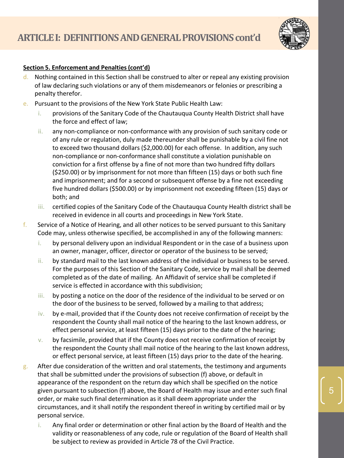

#### **Section 5. Enforcement and Penalties (cont'd)**

- d. Nothing contained in this Section shall be construed to alter or repeal any existing provision of law declaring such violations or any of them misdemeanors or felonies or prescribing a penalty therefor.
- e. Pursuant to the provisions of the New York State Public Health Law:
	- i. provisions of the Sanitary Code of the Chautauqua County Health District shall have the force and effect of law;
	- ii. any non-compliance or non-conformance with any provision of such sanitary code or of any rule or regulation, duly made thereunder shall be punishable by a civil fine not to exceed two thousand dollars (\$2,000.00) for each offense. In addition, any such non-compliance or non-conformance shall constitute a violation punishable on conviction for a first offense by a fine of not more than two hundred fifty dollars (\$250.00) or by imprisonment for not more than fifteen (15) days or both such fine and imprisonment; and for a second or subsequent offense by a fine not exceeding five hundred dollars (\$500.00) or by imprisonment not exceeding fifteen (15) days or both; and
	- iii. certified copies of the Sanitary Code of the Chautauqua County Health district shall be received in evidence in all courts and proceedings in New York State.
- f. Service of a Notice of Hearing, and all other notices to be served pursuant to this Sanitary Code may, unless otherwise specified, be accomplished in any of the following manners:
	- i. by personal delivery upon an individual Respondent or in the case of a business upon an owner, manager, officer, director or operator of the business to be served;
	- ii. by standard mail to the last known address of the individual or business to be served. For the purposes of this Section of the Sanitary Code, service by mail shall be deemed completed as of the date of mailing. An Affidavit of service shall be completed if service is effected in accordance with this subdivision;
	- iii. by posting a notice on the door of the residence of the individual to be served or on the door of the business to be served, followed by a mailing to that address;
	- iv. by e-mail, provided that if the County does not receive confirmation of receipt by the respondent the County shall mail notice of the hearing to the last known address, or effect personal service, at least fifteen (15) days prior to the date of the hearing;
	- $v.$  by facsimile, provided that if the County does not receive confirmation of receipt by the respondent the County shall mail notice of the hearing to the last known address, or effect personal service, at least fifteen (15) days prior to the date of the hearing.
- $g_{\text{R}}$  After due consideration of the written and oral statements, the testimony and arguments that shall be submitted under the provisions of subsection (f) above, or default in appearance of the respondent on the return day which shall be specified on the notice given pursuant to subsection (f) above, the Board of Health may issue and enter such final order, or make such final determination as it shall deem appropriate under the circumstances, and it shall notify the respondent thereof in writing by certified mail or by personal service.
	- i. Any final order or determination or other final action by the Board of Health and the validity or reasonableness of any code, rule or regulation of the Board of Health shall be subject to review as provided in Article 78 of the Civil Practice.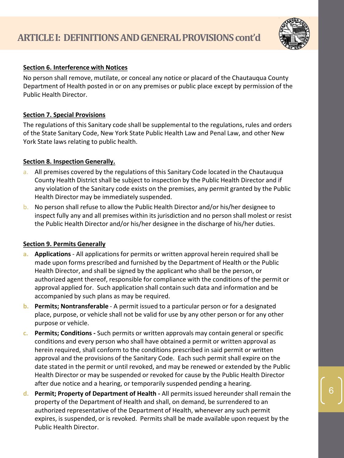

#### **Section 6. Interference with Notices**

No person shall remove, mutilate, or conceal any notice or placard of the Chautauqua County Department of Health posted in or on any premises or public place except by permission of the Public Health Director.

#### **Section 7. Special Provisions**

The regulations of this Sanitary code shall be supplemental to the regulations, rules and orders of the State Sanitary Code, New York State Public Health Law and Penal Law, and other New York State laws relating to public health.

#### **Section 8. Inspection Generally.**

- a. All premises covered by the regulations of this Sanitary Code located in the Chautauqua County Health District shall be subject to inspection by the Public Health Director and if any violation of the Sanitary code exists on the premises, any permit granted by the Public Health Director may be immediately suspended.
- b. No person shall refuse to allow the Public Health Director and/or his/her designee to inspect fully any and all premises within its jurisdiction and no person shall molest or resist the Public Health Director and/or his/her designee in the discharge of his/her duties.

#### **Section 9. Permits Generally**

- **a. Applications**  All applications for permits or written approval herein required shall be made upon forms prescribed and furnished by the Department of Health or the Public Health Director, and shall be signed by the applicant who shall be the person, or authorized agent thereof, responsible for compliance with the conditions of the permit or approval applied for. Such application shall contain such data and information and be accompanied by such plans as may be required.
- **b. Permits; Nontransferable** A permit issued to a particular person or for a designated place, purpose, or vehicle shall not be valid for use by any other person or for any other purpose or vehicle.
- **c. Permits; Conditions -** Such permits or written approvals may contain general or specific conditions and every person who shall have obtained a permit or written approval as herein required, shall conform to the conditions prescribed in said permit or written approval and the provisions of the Sanitary Code. Each such permit shall expire on the date stated in the permit or until revoked, and may be renewed or extended by the Public Health Director or may be suspended or revoked for cause by the Public Health Director after due notice and a hearing, or temporarily suspended pending a hearing.
- **d. Permit; Property of Department of Health -** All permits issued hereunder shall remain the property of the Department of Health and shall, on demand, be surrendered to an authorized representative of the Department of Health, whenever any such permit expires, is suspended, or is revoked. Permits shall be made available upon request by the Public Health Director.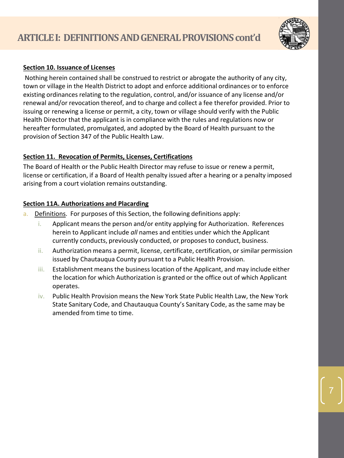

# **Section 10. Issuance of Licenses**

Nothing herein contained shall be construed to restrict or abrogate the authority of any city, town or village in the Health District to adopt and enforce additional ordinances or to enforce existing ordinances relating to the regulation, control, and/or issuance of any license and/or renewal and/or revocation thereof, and to charge and collect a fee therefor provided. Prior to issuing or renewing a license or permit, a city, town or village should verify with the Public Health Director that the applicant is in compliance with the rules and regulations now or hereafter formulated, promulgated, and adopted by the Board of Health pursuant to the provision of Section 347 of the Public Health Law.

# **Section 11. Revocation of Permits, Licenses, Certifications**

The Board of Health or the Public Health Director may refuse to issue or renew a permit, license or certification, if a Board of Health penalty issued after a hearing or a penalty imposed arising from a court violation remains outstanding.

# **Section 11A. Authorizations and Placarding**

- a. Definitions. For purposes of this Section, the following definitions apply:
	- i. Applicant means the person and/or entity applying for Authorization. References herein to Applicant include *all* names and entities under which the Applicant currently conducts, previously conducted, or proposes to conduct, business.
	- ii. Authorization means a permit, license, certificate, certification, or similar permission issued by Chautauqua County pursuant to a Public Health Provision.
	- iii. Establishment means the business location of the Applicant, and may include either the location for which Authorization is granted or the office out of which Applicant operates.
	- iv. Public Health Provision means the New York State Public Health Law, the New York State Sanitary Code, and Chautauqua County's Sanitary Code, as the same may be amended from time to time.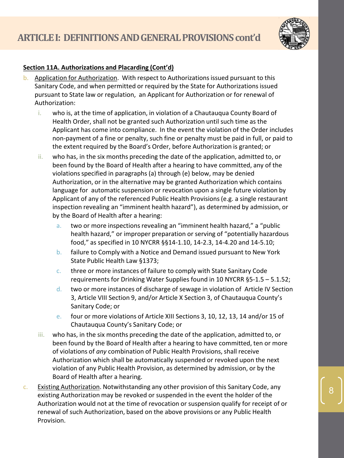

# **Section 11A. Authorizations and Placarding (Cont'd)**

- b. Application for Authorization. With respect to Authorizations issued pursuant to this Sanitary Code, and when permitted or required by the State for Authorizations issued pursuant to State law or regulation, an Applicant for Authorization or for renewal of Authorization:
	- i. who is, at the time of application, in violation of a Chautauqua County Board of Health Order, shall not be granted such Authorization until such time as the Applicant has come into compliance. In the event the violation of the Order includes non-payment of a fine or penalty, such fine or penalty must be paid in full, or paid to the extent required by the Board's Order, before Authorization is granted; or
	- ii. who has, in the six months preceding the date of the application, admitted to, or been found by the Board of Health after a hearing to have committed, any of the violations specified in paragraphs (a) through (e) below, may be denied Authorization, or in the alternative may be granted Authorization which contains language for automatic suspension or revocation upon a single future violation by Applicant of any of the referenced Public Health Provisions (e.g. a single restaurant inspection revealing an "imminent health hazard"), as determined by admission, or by the Board of Health after a hearing:
		- a. two or more inspections revealing an "imminent health hazard," a "public health hazard," or improper preparation or serving of "potentially hazardous food," as specified in 10 NYCRR §§14-1.10, 14-2.3, 14-4.20 and 14-5.10;
		- b. failure to Comply with a Notice and Demand issued pursuant to New York State Public Health Law §1373;
		- c. three or more instances of failure to comply with State Sanitary Code requirements for Drinking Water Supplies found in 10 NYCRR §5-1.5 – 5.1.52;
		- d. two or more instances of discharge of sewage in violation of Article IV Section 3, Article VIII Section 9, and/or Article X Section 3, of Chautauqua County's Sanitary Code; or
		- e. four or more violations of Article XIII Sections 3, 10, 12, 13, 14 and/or 15 of Chautauqua County's Sanitary Code; or
	- iii. who has, in the six months preceding the date of the application, admitted to, or been found by the Board of Health after a hearing to have committed, ten or more of violations of *any* combination of Public Health Provisions, shall receive Authorization which shall be automatically suspended or revoked upon the next violation of any Public Health Provision, as determined by admission, or by the Board of Health after a hearing.
- c. Existing Authorization. Notwithstanding any other provision of this Sanitary Code, any existing Authorization may be revoked or suspended in the event the holder of the Authorization would not at the time of revocation or suspension qualify for receipt of or renewal of such Authorization, based on the above provisions or any Public Health Provision.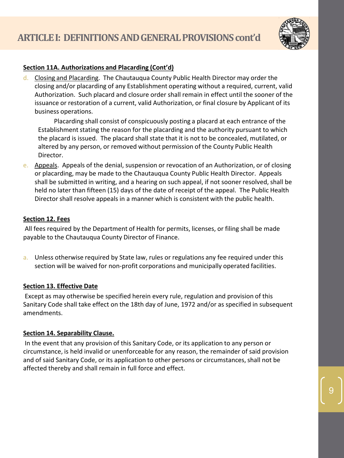

# **Section 11A. Authorizations and Placarding (Cont'd)**

d. Closing and Placarding. The Chautauqua County Public Health Director may order the closing and/or placarding of any Establishment operating without a required, current, valid Authorization. Such placard and closure order shall remain in effect until the sooner of the issuance or restoration of a current, valid Authorization, or final closure by Applicant of its business operations.

Placarding shall consist of conspicuously posting a placard at each entrance of the Establishment stating the reason for the placarding and the authority pursuant to which the placard is issued. The placard shall state that it is not to be concealed, mutilated, or altered by any person, or removed without permission of the County Public Health Director.

e. Appeals. Appeals of the denial, suspension or revocation of an Authorization, or of closing or placarding, may be made to the Chautauqua County Public Health Director. Appeals shall be submitted in writing, and a hearing on such appeal, if not sooner resolved, shall be held no later than fifteen (15) days of the date of receipt of the appeal. The Public Health Director shall resolve appeals in a manner which is consistent with the public health.

#### **Section 12. Fees**

All fees required by the Department of Health for permits, licenses, or filing shall be made payable to the Chautauqua County Director of Finance.

a. Unless otherwise required by State law, rules or regulations any fee required under this section will be waived for non-profit corporations and municipally operated facilities.

# **Section 13. Effective Date**

Except as may otherwise be specified herein every rule, regulation and provision of this Sanitary Code shall take effect on the 18th day of June, 1972 and/or as specified in subsequent amendments.

#### **Section 14. Separability Clause.**

In the event that any provision of this Sanitary Code, or its application to any person or circumstance, is held invalid or unenforceable for any reason, the remainder of said provision and of said Sanitary Code, or its application to other persons or circumstances, shall not be affected thereby and shall remain in full force and effect.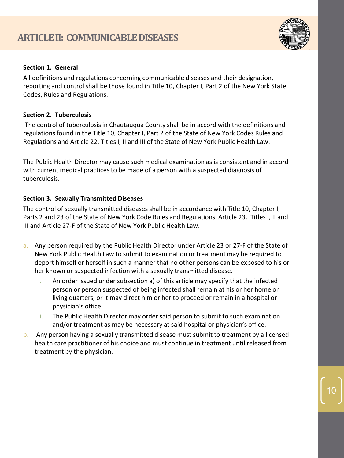

# **Section 1. General**

All definitions and regulations concerning communicable diseases and their designation, reporting and control shall be those found in Title 10, Chapter I, Part 2 of the New York State Codes, Rules and Regulations.

# **Section 2. Tuberculosis**

The control of tuberculosis in Chautauqua County shall be in accord with the definitions and regulations found in the Title 10, Chapter I, Part 2 of the State of New York Codes Rules and Regulations and Article 22, Titles I, II and III of the State of New York Public Health Law.

The Public Health Director may cause such medical examination as is consistent and in accord with current medical practices to be made of a person with a suspected diagnosis of tuberculosis.

# **Section 3. Sexually Transmitted Diseases**

The control of sexually transmitted diseases shall be in accordance with Title 10, Chapter I, Parts 2 and 23 of the State of New York Code Rules and Regulations, Article 23. Titles I, II and III and Article 27-F of the State of New York Public Health Law.

- a. Any person required by the Public Health Director under Article 23 or 27-F of the State of New York Public Health Law to submit to examination or treatment may be required to deport himself or herself in such a manner that no other persons can be exposed to his or her known or suspected infection with a sexually transmitted disease.
	- i. An order issued under subsection a) of this article may specify that the infected person or person suspected of being infected shall remain at his or her home or living quarters, or it may direct him or her to proceed or remain in a hospital or physician's office.
	- ii. The Public Health Director may order said person to submit to such examination and/or treatment as may be necessary at said hospital or physician's office.
- b. Any person having a sexually transmitted disease must submit to treatment by a licensed health care practitioner of his choice and must continue in treatment until released from treatment by the physician.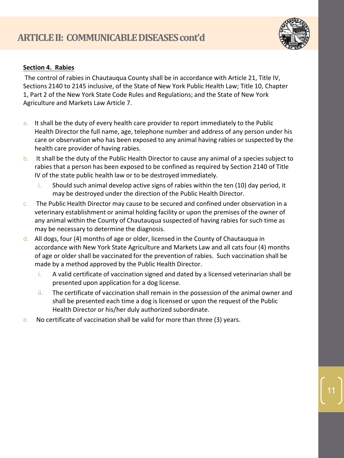

# **Section 4. Rabies**

The control of rabies in Chautauqua County shall be in accordance with Article 21, Title IV, Sections 2140 to 2145 inclusive, of the State of New York Public Health Law; Title 10, Chapter 1, Part 2 of the New York State Code Rules and Regulations; and the State of New York Agriculture and Markets Law Article 7.

- a. It shall be the duty of every health care provider to report immediately to the Public Health Director the full name, age, telephone number and address of any person under his care or observation who has been exposed to any animal having rabies or suspected by the health care provider of having rabies.
- b. It shall be the duty of the Public Health Director to cause any animal of a species subject to rabies that a person has been exposed to be confined as required by Section 2140 of Title IV of the state public health law or to be destroyed immediately.
	- i. Should such animal develop active signs of rabies within the ten (10) day period, it may be destroyed under the direction of the Public Health Director.
- c. The Public Health Director may cause to be secured and confined under observation in a veterinary establishment or animal holding facility or upon the premises of the owner of any animal within the County of Chautauqua suspected of having rabies for such time as may be necessary to determine the diagnosis.
- d. All dogs, four (4) months of age or older, licensed in the County of Chautauqua in accordance with New York State Agriculture and Markets Law and all cats four (4) months of age or older shall be vaccinated for the prevention of rabies. Such vaccination shall be made by a method approved by the Public Health Director.
	- i. A valid certificate of vaccination signed and dated by a licensed veterinarian shall be presented upon application for a dog license.
	- ii. The certificate of vaccination shall remain in the possession of the animal owner and shall be presented each time a dog is licensed or upon the request of the Public Health Director or his/her duly authorized subordinate.
- e. No certificate of vaccination shall be valid for more than three (3) years.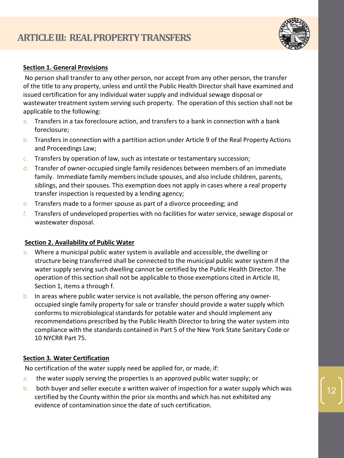

# **Section 1. General Provisions**

No person shall transfer to any other person, nor accept from any other person, the transfer of the title to any property, unless and until the Public Health Director shall have examined and issued certification for any individual water supply and individual sewage disposal or wastewater treatment system serving such property. The operation of this section shall not be applicable to the following:

- a. Transfers in a tax foreclosure action, and transfers to a bank in connection with a bank foreclosure;
- b. Transfers in connection with a partition action under Article 9 of the Real Property Actions and Proceedings Law;
- $c.$  Transfers by operation of law, such as intestate or testamentary succession;
- d. Transfer of owner-occupied single family residences between members of an immediate family. Immediate family members include spouses, and also include children, parents, siblings, and their spouses. This exemption does not apply in cases where a real property transfer inspection is requested by a lending agency;
- e. Transfers made to a former spouse as part of a divorce proceeding; and
- f. Transfers of undeveloped properties with no facilities for water service, sewage disposal or wastewater disposal.

#### **Section 2. Availability of Public Water**

- a. Where a municipal public water system is available and accessible, the dwelling or structure being transferred shall be connected to the municipal public water system if the water supply serving such dwelling cannot be certified by the Public Health Director. The operation of this section shall not be applicable to those exemptions cited in Article III, Section 1, items a through f.
- b. In areas where public water service is not available, the person offering any owneroccupied single family property for sale or transfer should provide a water supply which conforms to microbiological standards for potable water and should implement any recommendations prescribed by the Public Health Director to bring the water system into compliance with the standards contained in Part 5 of the New York State Sanitary Code or 10 NYCRR Part 75.

#### **Section 3. Water Certification**

No certification of the water supply need be applied for, or made, if:

- a. the water supply serving the properties is an approved public water supply; or
- b. both buyer and seller execute a written waiver of inspection for a water supply which was certified by the County within the prior six months and which has not exhibited any evidence of contamination since the date of such certification.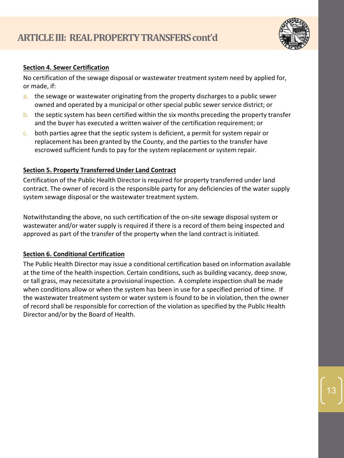

#### **Section 4. Sewer Certification**

No certification of the sewage disposal or wastewater treatment system need by applied for, or made, if:

- a. the sewage or wastewater originating from the property discharges to a public sewer owned and operated by a municipal or other special public sewer service district; or
- b. the septic system has been certified within the six months preceding the property transfer and the buyer has executed a written waiver of the certification requirement; or
- c. both parties agree that the septic system is deficient, a permit for system repair or replacement has been granted by the County, and the parties to the transfer have escrowed sufficient funds to pay for the system replacement or system repair.

# **Section 5. Property Transferred Under Land Contract**

Certification of the Public Health Director is required for property transferred under land contract. The owner of record is the responsible party for any deficiencies of the water supply system sewage disposal or the wastewater treatment system.

Notwithstanding the above, no such certification of the on-site sewage disposal system or wastewater and/or water supply is required if there is a record of them being inspected and approved as part of the transfer of the property when the land contract is initiated.

# **Section 6. Conditional Certification**

The Public Health Director may issue a conditional certification based on information available at the time of the health inspection. Certain conditions, such as building vacancy, deep snow, or tall grass, may necessitate a provisional inspection. A complete inspection shall be made when conditions allow or when the system has been in use for a specified period of time. If the wastewater treatment system or water system is found to be in violation, then the owner of record shall be responsible for correction of the violation as specified by the Public Health Director and/or by the Board of Health.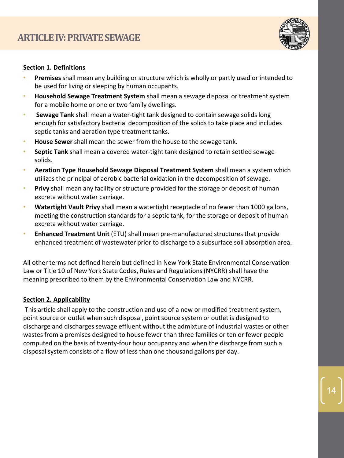

#### **Section 1. Definitions**

- **Premises** shall mean any building or structure which is wholly or partly used or intended to be used for living or sleeping by human occupants.
- **Household Sewage Treatment System** shall mean a sewage disposal or treatment system for a mobile home or one or two family dwellings.
- **Sewage Tank** shall mean a water-tight tank designed to contain sewage solids long enough for satisfactory bacterial decomposition of the solids to take place and includes septic tanks and aeration type treatment tanks.
- **House Sewer** shall mean the sewer from the house to the sewage tank.
- **Septic Tank** shall mean a covered water-tight tank designed to retain settled sewage solids.
- **Aeration Type Household Sewage Disposal Treatment System** shall mean a system which utilizes the principal of aerobic bacterial oxidation in the decomposition of sewage.
- **Privy** shall mean any facility or structure provided for the storage or deposit of human excreta without water carriage.
- **Watertight Vault Privy** shall mean a watertight receptacle of no fewer than 1000 gallons, meeting the construction standards for a septic tank, for the storage or deposit of human excreta without water carriage.
- **Enhanced Treatment Unit** (ETU) shall mean pre-manufactured structures that provide enhanced treatment of wastewater prior to discharge to a subsurface soil absorption area.

All other terms not defined herein but defined in New York State Environmental Conservation Law or Title 10 of New York State Codes, Rules and Regulations (NYCRR) shall have the meaning prescribed to them by the Environmental Conservation Law and NYCRR.

# **Section 2. Applicability**

This article shall apply to the construction and use of a new or modified treatment system, point source or outlet when such disposal, point source system or outlet is designed to discharge and discharges sewage effluent without the admixture of industrial wastes or other wastes from a premises designed to house fewer than three families or ten or fewer people computed on the basis of twenty-four hour occupancy and when the discharge from such a disposal system consists of a flow of less than one thousand gallons per day.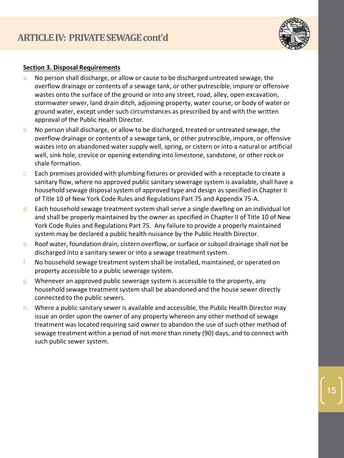

# **Section 3. Disposal Requirements**

- a. No person shall discharge, or allow or cause to be discharged untreated sewage, the overflow drainage or contents of a sewage tank, or other putrescible, impure or offensive wastes onto the surface of the ground or into any street, road, alley, open excavation, stormwater sewer, land drain ditch, adjoining property, water course, or body of water or ground water, except under such circumstances as prescribed by and with the written approval of the Public Health Director.
- b. No person shall discharge, or allow to be discharged, treated or untreated sewage, the overflow drainage or contents of a sewage tank, or other putrescible, impure, or offensive wastes into an abandoned water supply well, spring, or cistern or into a natural or artificial well, sink hole, crevice or opening extending into limestone, sandstone, or other rock or shale formation.
- c. Each premises provided with plumbing fixtures or provided with a receptacle to create a sanitary flow, where no approved public sanitary sewerage system is available, shall have a household sewage disposal system of approved type and design as specified in Chapter II of Title 10 of New York Code Rules and Regulations Part 75 and Appendix 75-A.
- d. Each household sewage treatment system shall serve a single dwelling on an individual lot and shall be properly maintained by the owner as specified in Chapter II of Title 10 of New York Code Rules and Regulations Part 75. Any failure to provide a properly maintained system may be declared a public health nuisance by the Public Health Director.
- e. Roof water, foundation drain, cistern overflow, or surface or subsoil drainage shall not be discharged into a sanitary sewer or into a sewage treatment system.
- f. No household sewage treatment system shall be installed, maintained, or operated on property accessible to a public sewerage system.
- g. Whenever an approved public sewerage system is accessible to the property, any household sewage treatment system shall be abandoned and the house sewer directly connected to the public sewers.
- h. Where a public sanitary sewer is available and accessible, the Public Health Director may issue an order upon the owner of any property whereon any other method of sewage treatment was located requiring said owner to abandon the use of such other method of sewage treatment within a period of not more than ninety (90) days, and to connect with such public sewer system.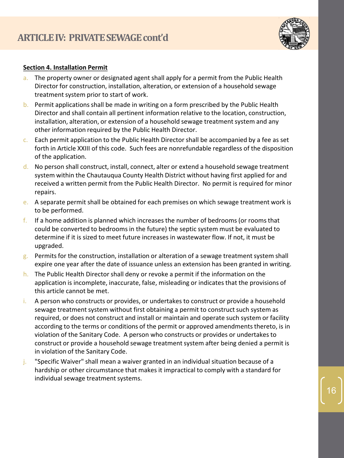

#### **Section 4. Installation Permit**

- a. The property owner or designated agent shall apply for a permit from the Public Health Director for construction, installation, alteration, or extension of a household sewage treatment system prior to start of work.
- b. Permit applications shall be made in writing on a form prescribed by the Public Health Director and shall contain all pertinent information relative to the location, construction, installation, alteration, or extension of a household sewage treatment system and any other information required by the Public Health Director.
- $c.$  Each permit application to the Public Health Director shall be accompanied by a fee as set forth in Article XXIII of this code. Such fees are nonrefundable regardless of the disposition of the application.
- d. No person shall construct, install, connect, alter or extend a household sewage treatment system within the Chautauqua County Health District without having first applied for and received a written permit from the Public Health Director. No permit is required for minor repairs.
- e. A separate permit shall be obtained for each premises on which sewage treatment work is to be performed.
- f. If a home addition is planned which increases the number of bedrooms (or rooms that could be converted to bedrooms in the future) the septic system must be evaluated to determine if it is sized to meet future increases in wastewater flow. If not, it must be upgraded.
- $g$ . Permits for the construction, installation or alteration of a sewage treatment system shall expire one year after the date of issuance unless an extension has been granted in writing.
- h. The Public Health Director shall deny or revoke a permit if the information on the application is incomplete, inaccurate, false, misleading or indicates that the provisions of this article cannot be met.
- i. A person who constructs or provides, or undertakes to construct or provide a household sewage treatment system without first obtaining a permit to construct such system as required, or does not construct and install or maintain and operate such system or facility according to the terms or conditions of the permit or approved amendments thereto, is in violation of the Sanitary Code. A person who constructs or provides or undertakes to construct or provide a household sewage treatment system after being denied a permit is in violation of the Sanitary Code.
- j. "Specific Waiver" shall mean a waiver granted in an individual situation because of a hardship or other circumstance that makes it impractical to comply with a standard for individual sewage treatment systems.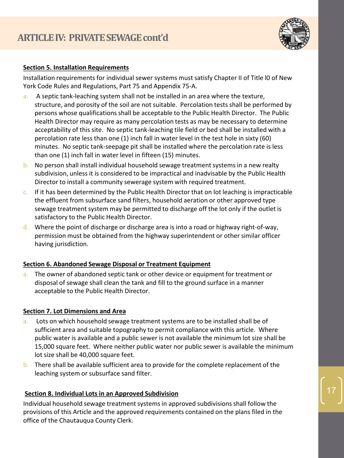

# **Section 5. Installation Requirements**

Installation requirements for individual sewer systems must satisfy Chapter II of Title l0 of New York Code Rules and Regulations, Part 75 and Appendix 75-A.

- a. A septic tank-leaching system shall not be installed in an area where the texture, structure, and porosity of the soil are not suitable. Percolation tests shall be performed by persons whose qualifications shall be acceptable to the Public Health Director. The Public Health Director may require as many percolation tests as may be necessary to determine acceptability of this site. No septic tank-leaching tile field or bed shall be installed with a percolation rate less than one (1) inch fall in water level in the test hole in sixty (60) minutes. No septic tank-seepage pit shall be installed where the percolation rate is less than one (1) inch fall in water level in fifteen (15) minutes.
- b. No person shall install individual household sewage treatment systems in a new realty subdivision, unless it is considered to be impractical and inadvisable by the Public Health Director to install a community sewerage system with required treatment.
- $c.$  If it has been determined by the Public Health Director that on lot leaching is impracticable the effluent from subsurface sand filters, household aeration or other approved type sewage treatment system may be permitted to discharge off the lot only if the outlet is satisfactory to the Public Health Director.
- d. Where the point of discharge or discharge area is into a road or highway right-of-way, permission must be obtained from the highway superintendent or other similar officer having jurisdiction.

# **Section 6. Abandoned Sewage Disposal or Treatment Equipment**

a. The owner of abandoned septic tank or other device or equipment for treatment or disposal of sewage shall clean the tank and fill to the ground surface in a manner acceptable to the Public Health Director.

# **Section 7. Lot Dimensions and Area**

- a. Lots on which household sewage treatment systems are to be installed shall be of sufficient area and suitable topography to permit compliance with this article. Where public water is available and a public sewer is not available the minimum lot size shall be 15,000 square feet. Where neither public water nor public sewer is available the minimum lot size shall be 40,000 square feet.
- b. There shall be available sufficient area to provide for the complete replacement of the leaching system or subsurface sand filter.

# **Section 8. Individual Lots in an Approved Subdivision**

Individual household sewage treatment systems in approved subdivisions shall follow the provisions of this Article and the approved requirements contained on the plans filed in the office of the Chautauqua County Clerk.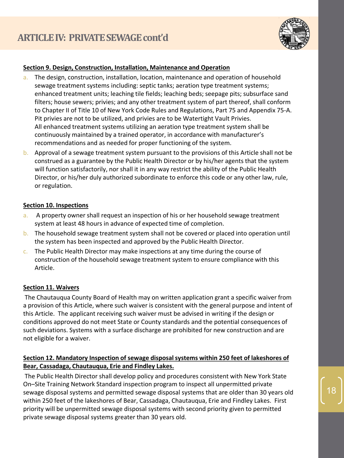

#### **Section 9. Design, Construction, Installation, Maintenance and Operation**

- a. The design, construction, installation, location, maintenance and operation of household sewage treatment systems including: septic tanks; aeration type treatment systems; enhanced treatment units; leaching tile fields; leaching beds; seepage pits; subsurface sand filters; house sewers; privies; and any other treatment system of part thereof, shall conform to Chapter II of Title 10 of New York Code Rules and Regulations, Part 75 and Appendix 75-A. Pit privies are not to be utilized, and privies are to be Watertight Vault Privies. All enhanced treatment systems utilizing an aeration type treatment system shall be continuously maintained by a trained operator, in accordance with manufacturer's recommendations and as needed for proper functioning of the system.
- b. Approval of a sewage treatment system pursuant to the provisions of this Article shall not be construed as a guarantee by the Public Health Director or by his/her agents that the system will function satisfactorily, nor shall it in any way restrict the ability of the Public Health Director, or his/her duly authorized subordinate to enforce this code or any other law, rule, or regulation.

#### **Section 10. Inspections**

- a. A property owner shall request an inspection of his or her household sewage treatment system at least 48 hours in advance of expected time of completion.
- b. The household sewage treatment system shall not be covered or placed into operation until the system has been inspected and approved by the Public Health Director.
- c. The Public Health Director may make inspections at any time during the course of construction of the household sewage treatment system to ensure compliance with this Article.

#### **Section 11. Waivers**

The Chautauqua County Board of Health may on written application grant a specific waiver from a provision of this Article, where such waiver is consistent with the general purpose and intent of this Article. The applicant receiving such waiver must be advised in writing if the design or conditions approved do not meet State or County standards and the potential consequences of such deviations. Systems with a surface discharge are prohibited for new construction and are not eligible for a waiver.

# **Section 12. Mandatory Inspection of sewage disposal systems within 250 feet of lakeshores of Bear, Cassadaga, Chautauqua, Erie and Findley Lakes.**

The Public Health Director shall develop policy and procedures consistent with New York State On–Site Training Network Standard inspection program to inspect all unpermitted private sewage disposal systems and permitted sewage disposal systems that are older than 30 years old within 250 feet of the lakeshores of Bear, Cassadaga, Chautauqua, Erie and Findley Lakes. First priority will be unpermitted sewage disposal systems with second priority given to permitted private sewage disposal systems greater than 30 years old.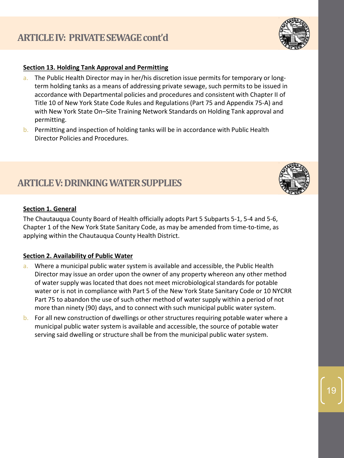# **Section 13. Holding Tank Approval and Permitting**

- a. The Public Health Director may in her/his discretion issue permits for temporary or longterm holding tanks as a means of addressing private sewage, such permits to be issued in accordance with Departmental policies and procedures and consistent with Chapter II of Title 10 of New York State Code Rules and Regulations (Part 75 and Appendix 75-A) and with New York State On–Site Training Network Standards on Holding Tank approval and permitting.
- b. Permitting and inspection of holding tanks will be in accordance with Public Health Director Policies and Procedures.

# **ARTICLE V: DRINKING WATER SUPPLIES**

# **Section 1. General**

The Chautauqua County Board of Health officially adopts Part 5 Subparts 5-1, 5-4 and 5-6, Chapter 1 of the New York State Sanitary Code, as may be amended from time-to-time, as applying within the Chautauqua County Health District.

# **Section 2. Availability of Public Water**

- a. Where a municipal public water system is available and accessible, the Public Health Director may issue an order upon the owner of any property whereon any other method of water supply was located that does not meet microbiological standards for potable water or is not in compliance with Part 5 of the New York State Sanitary Code or 10 NYCRR Part 75 to abandon the use of such other method of water supply within a period of not more than ninety (90) days, and to connect with such municipal public water system.
- b. For all new construction of dwellings or other structures requiring potable water where a municipal public water system is available and accessible, the source of potable water serving said dwelling or structure shall be from the municipal public water system.





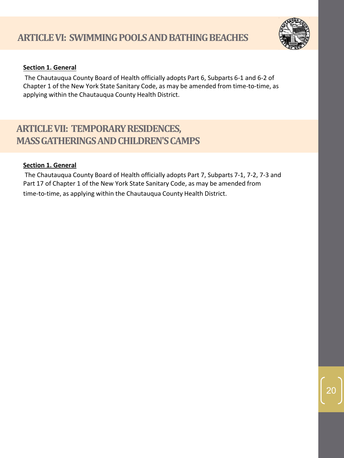

# **Section 1. General**

The Chautauqua County Board of Health officially adopts Part 6, Subparts 6-1 and 6-2 of Chapter 1 of the New York State Sanitary Code, as may be amended from time-to-time, as applying within the Chautauqua County Health District.

# **ARTICLE VII: TEMPORARY RESIDENCES, MASS GATHERINGS AND CHILDREN'S CAMPS**

# **Section 1. General**

The Chautauqua County Board of Health officially adopts Part 7, Subparts 7-1, 7-2, 7-3 and Part 17 of Chapter 1 of the New York State Sanitary Code, as may be amended from

time-to-time, as applying within the Chautauqua County Health District.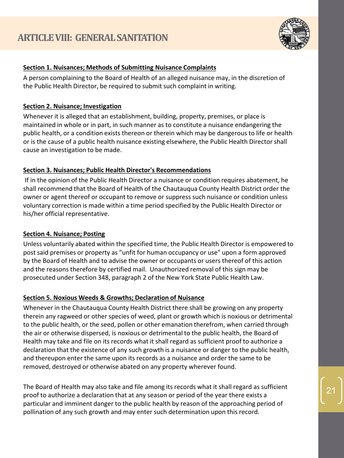

# **Section 1. Nuisances; Methods of Submitting Nuisance Complaints**

A person complaining to the Board of Health of an alleged nuisance may, in the discretion of the Public Health Director, be required to submit such complaint in writing.

# **Section 2. Nuisance; Investigation**

Whenever it is alleged that an establishment, building, property, premises, or place is maintained in whole or in part, in such manner as to constitute a nuisance endangering the public health, or a condition exists thereon or therein which may be dangerous to life or health or is the cause of a public health nuisance existing elsewhere, the Public Health Director shall cause an investigation to be made.

# **Section 3. Nuisances; Public Health Director's Recommendations**

If in the opinion of the Public Health Director a nuisance or condition requires abatement, he shall recommend that the Board of Health of the Chautauqua County Health District order the owner or agent thereof or occupant to remove or suppress such nuisance or condition unless voluntary correction is made within a time period specified by the Public Health Director or his/her official representative.

# **Section 4. Nuisance; Posting**

Unless voluntarily abated within the specified time, the Public Health Director is empowered to post said premises or property as "unfit for human occupancy or use" upon a form approved by the Board of Health and to advise the owner or occupants or users thereof of this action and the reasons therefore by certified mail. Unauthorized removal of this sign may be prosecuted under Section 348, paragraph 2 of the New York State Public Health Law.

# **Section 5. Noxious Weeds & Growths; Declaration of Nuisance**

Whenever in the Chautauqua County Health District there shall be growing on any property therein any ragweed or other species of weed, plant or growth which is noxious or detrimental to the public health, or the seed, pollen or other emanation therefrom, when carried through the air or otherwise dispersed, is noxious or detrimental to the public health, the Board of Health may take and file on its records what it shall regard as sufficient proof to authorize a declaration that the existence of any such growth is a nuisance or danger to the public health, and thereupon enter the same upon its records as a nuisance and order the same to be removed, destroyed or otherwise abated on any property wherever found.

The Board of Health may also take and file among its records what it shall regard as sufficient proof to authorize a declaration that at any season or period of the year there exists a particular and imminent danger to the public health by reason of the approaching period of pollination of any such growth and may enter such determination upon this record.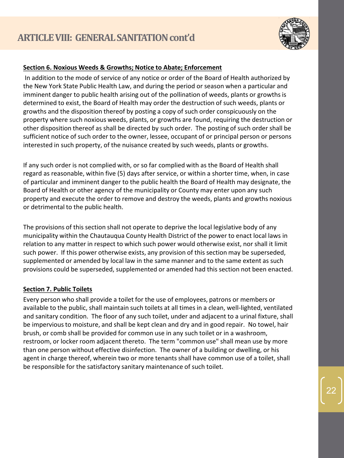

# **Section 6. Noxious Weeds & Growths; Notice to Abate; Enforcement**

In addition to the mode of service of any notice or order of the Board of Health authorized by the New York State Public Health Law, and during the period or season when a particular and imminent danger to public health arising out of the pollination of weeds, plants or growths is determined to exist, the Board of Health may order the destruction of such weeds, plants or growths and the disposition thereof by posting a copy of such order conspicuously on the property where such noxious weeds, plants, or growths are found, requiring the destruction or other disposition thereof as shall be directed by such order. The posting of such order shall be sufficient notice of such order to the owner, lessee, occupant of or principal person or persons interested in such property, of the nuisance created by such weeds, plants or growths.

If any such order is not complied with, or so far complied with as the Board of Health shall regard as reasonable, within five (5) days after service, or within a shorter time, when, in case of particular and imminent danger to the public health the Board of Health may designate, the Board of Health or other agency of the municipality or County may enter upon any such property and execute the order to remove and destroy the weeds, plants and growths noxious or detrimental to the public health.

The provisions of this section shall not operate to deprive the local legislative body of any municipality within the Chautauqua County Health District of the power to enact local laws in relation to any matter in respect to which such power would otherwise exist, nor shall it limit such power. If this power otherwise exists, any provision of this section may be superseded, supplemented or amended by local law in the same manner and to the same extent as such provisions could be superseded, supplemented or amended had this section not been enacted.

# **Section 7. Public Toilets**

Every person who shall provide a toilet for the use of employees, patrons or members or available to the public, shall maintain such toilets at all times in a clean, well-lighted, ventilated and sanitary condition. The floor of any such toilet, under and adjacent to a urinal fixture, shall be impervious to moisture, and shall be kept clean and dry and in good repair. No towel, hair brush, or comb shall be provided for common use in any such toilet or in a washroom, restroom, or locker room adjacent thereto. The term "common use" shall mean use by more than one person without effective disinfection. The owner of a building or dwelling, or his agent in charge thereof, wherein two or more tenants shall have common use of a toilet, shall be responsible for the satisfactory sanitary maintenance of such toilet.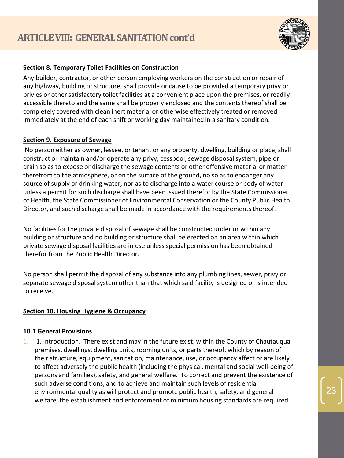

# **Section 8. Temporary Toilet Facilities on Construction**

Any builder, contractor, or other person employing workers on the construction or repair of any highway, building or structure, shall provide or cause to be provided a temporary privy or privies or other satisfactory toilet facilities at a convenient place upon the premises, or readily accessible thereto and the same shall be properly enclosed and the contents thereof shall be completely covered with clean inert material or otherwise effectively treated or removed immediately at the end of each shift or working day maintained in a sanitary condition.

# **Section 9. Exposure of Sewage**

No person either as owner, lessee, or tenant or any property, dwelling, building or place, shall construct or maintain and/or operate any privy, cesspool, sewage disposal system, pipe or drain so as to expose or discharge the sewage contents or other offensive material or matter therefrom to the atmosphere, or on the surface of the ground, no so as to endanger any source of supply or drinking water, nor as to discharge into a water course or body of water unless a permit for such discharge shall have been issued therefor by the State Commissioner of Health, the State Commissioner of Environmental Conservation or the County Public Health Director, and such discharge shall be made in accordance with the requirements thereof.

No facilities for the private disposal of sewage shall be constructed under or within any building or structure and no building or structure shall be erected on an area within which private sewage disposal facilities are in use unless special permission has been obtained therefor from the Public Health Director.

No person shall permit the disposal of any substance into any plumbing lines, sewer, privy or separate sewage disposal system other than that which said facility is designed or is intended to receive.

# **Section 10. Housing Hygiene & Occupancy**

#### **10.1 General Provisions**

1. 1. Introduction. There exist and may in the future exist, within the County of Chautauqua premises, dwellings, dwelling units, rooming units, or parts thereof, which by reason of their structure, equipment, sanitation, maintenance, use, or occupancy affect or are likely to affect adversely the public health (including the physical, mental and social well-being of persons and families), safety, and general welfare. To correct and prevent the existence of such adverse conditions, and to achieve and maintain such levels of residential environmental quality as will protect and promote public health, safety, and general welfare, the establishment and enforcement of minimum housing standards are required.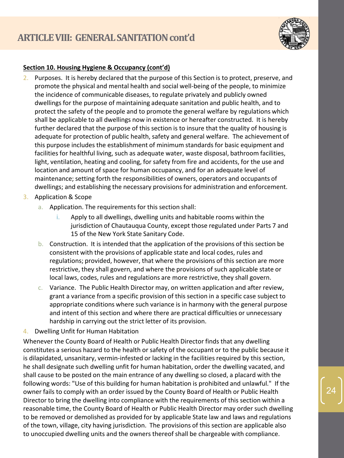

# **Section 10. Housing Hygiene & Occupancy (cont'd)**

- 2. Purposes. It is hereby declared that the purpose of this Section is to protect, preserve, and promote the physical and mental health and social well-being of the people, to minimize the incidence of communicable diseases, to regulate privately and publicly owned dwellings for the purpose of maintaining adequate sanitation and public health, and to protect the safety of the people and to promote the general welfare by regulations which shall be applicable to all dwellings now in existence or hereafter constructed. It is hereby further declared that the purpose of this section is to insure that the quality of housing is adequate for protection of public health, safety and general welfare. The achievement of this purpose includes the establishment of minimum standards for basic equipment and facilities for healthful living, such as adequate water, waste disposal, bathroom facilities, light, ventilation, heating and cooling, for safety from fire and accidents, for the use and location and amount of space for human occupancy, and for an adequate level of maintenance; setting forth the responsibilities of owners, operators and occupants of dwellings; and establishing the necessary provisions for administration and enforcement.
- 3. Application & Scope
	- a. Application. The requirements for this section shall:
		- i. Apply to all dwellings, dwelling units and habitable rooms within the jurisdiction of Chautauqua County, except those regulated under Parts 7 and 15 of the New York State Sanitary Code.
	- b. Construction. It is intended that the application of the provisions of this section be consistent with the provisions of applicable state and local codes, rules and regulations; provided, however, that where the provisions of this section are more restrictive, they shall govern, and where the provisions of such applicable state or local laws, codes, rules and regulations are more restrictive, they shall govern.
	- c. Variance. The Public Health Director may, on written application and after review, grant a variance from a specific provision of this section in a specific case subject to appropriate conditions where such variance is in harmony with the general purpose and intent of this section and where there are practical difficulties or unnecessary hardship in carrying out the strict letter of its provision.
- 4. Dwelling Unfit for Human Habitation

Whenever the County Board of Health or Public Health Director finds that any dwelling constitutes a serious hazard to the health or safety of the occupant or to the public because it is dilapidated, unsanitary, vermin-infested or lacking in the facilities required by this section, he shall designate such dwelling unfit for human habitation, order the dwelling vacated, and shall cause to be posted on the main entrance of any dwelling so closed, a placard with the following words: "Use of this building for human habitation is prohibited and unlawful." If the owner fails to comply with an order issued by the County Board of Health or Public Health Director to bring the dwelling into compliance with the requirements of this section within a reasonable time, the County Board of Health or Public Health Director may order such dwelling to be removed or demolished as provided for by applicable State law and laws and regulations of the town, village, city having jurisdiction. The provisions of this section are applicable also to unoccupied dwelling units and the owners thereof shall be chargeable with compliance.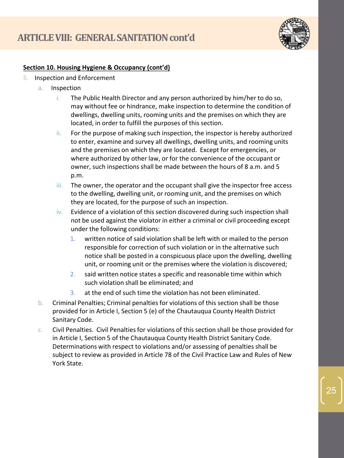

# **Section 10. Housing Hygiene & Occupancy (cont'd)**

- 5. Inspection and Enforcement
	- a. Inspection
		- i. The Public Health Director and any person authorized by him/her to do so, may without fee or hindrance, make inspection to determine the condition of dwellings, dwelling units, rooming units and the premises on which they are located, in order to fulfill the purposes of this section.
		- ii. For the purpose of making such inspection, the inspector is hereby authorized to enter, examine and survey all dwellings, dwelling units, and rooming units and the premises on which they are located. Except for emergencies, or where authorized by other law, or for the convenience of the occupant or owner, such inspections shall be made between the hours of 8 a.m. and 5 p.m.
		- iii. The owner, the operator and the occupant shall give the inspector free access to the dwelling, dwelling unit, or rooming unit, and the premises on which they are located, for the purpose of such an inspection.
		- $iv.$  Evidence of a violation of this section discovered during such inspection shall not be used against the violator in either a criminal or civil proceeding except under the following conditions:
			- 1. written notice of said violation shall be left with or mailed to the person responsible for correction of such violation or in the alternative such notice shall be posted in a conspicuous place upon the dwelling, dwelling unit, or rooming unit or the premises where the violation is discovered;
			- 2. said written notice states a specific and reasonable time within which such violation shall be eliminated; and
			- 3. at the end of such time the violation has not been eliminated.
	- b. Criminal Penalties; Criminal penalties for violations of this section shall be those provided for in Article I, Section 5 (e) of the Chautauqua County Health District Sanitary Code.
	- c. Civil Penalties. Civil Penalties for violations of this section shall be those provided for in Article I, Section 5 of the Chautauqua County Health District Sanitary Code. Determinations with respect to violations and/or assessing of penalties shall be subject to review as provided in Article 78 of the Civil Practice Law and Rules of New York State.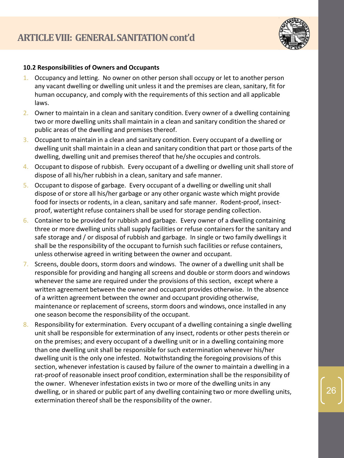

# **10.2 Responsibilities of Owners and Occupants**

- 1. Occupancy and letting. No owner on other person shall occupy or let to another person any vacant dwelling or dwelling unit unless it and the premises are clean, sanitary, fit for human occupancy, and comply with the requirements of this section and all applicable laws.
- 2. Owner to maintain in a clean and sanitary condition. Every owner of a dwelling containing two or more dwelling units shall maintain in a clean and sanitary condition the shared or public areas of the dwelling and premises thereof.
- 3. Occupant to maintain in a clean and sanitary condition. Every occupant of a dwelling or dwelling unit shall maintain in a clean and sanitary condition that part or those parts of the dwelling, dwelling unit and premises thereof that he/she occupies and controls.
- 4. Occupant to dispose of rubbish. Every occupant of a dwelling or dwelling unit shall store of dispose of all his/her rubbish in a clean, sanitary and safe manner.
- 5. Occupant to dispose of garbage. Every occupant of a dwelling or dwelling unit shall dispose of or store all his/her garbage or any other organic waste which might provide food for insects or rodents, in a clean, sanitary and safe manner. Rodent-proof, insectproof, watertight refuse containers shall be used for storage pending collection.
- 6. Container to be provided for rubbish and garbage. Every owner of a dwelling containing three or more dwelling units shall supply facilities or refuse containers for the sanitary and safe storage and / or disposal of rubbish and garbage. In single or two family dwellings it shall be the responsibility of the occupant to furnish such facilities or refuse containers, unless otherwise agreed in writing between the owner and occupant.
- 7. Screens, double doors, storm doors and windows. The owner of a dwelling unit shall be responsible for providing and hanging all screens and double or storm doors and windows whenever the same are required under the provisions of this section, except where a written agreement between the owner and occupant provides otherwise. In the absence of a written agreement between the owner and occupant providing otherwise, maintenance or replacement of screens, storm doors and windows, once installed in any one season become the responsibility of the occupant.
- 8. Responsibility for extermination. Every occupant of a dwelling containing a single dwelling unit shall be responsible for extermination of any insect, rodents or other pests therein or on the premises; and every occupant of a dwelling unit or in a dwelling containing more than one dwelling unit shall be responsible for such extermination whenever his/her dwelling unit is the only one infested. Notwithstanding the foregoing provisions of this section, whenever infestation is caused by failure of the owner to maintain a dwelling in a rat-proof of reasonable insect proof condition, extermination shall be the responsibility of the owner. Whenever infestation exists in two or more of the dwelling units in any dwelling, or in shared or public part of any dwelling containing two or more dwelling units, extermination thereof shall be the responsibility of the owner.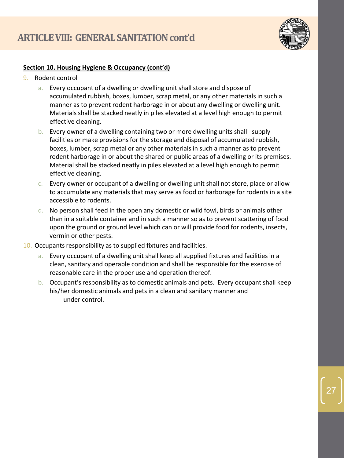

# **Section 10. Housing Hygiene & Occupancy (cont'd)**

- 9. Rodent control
	- a. Every occupant of a dwelling or dwelling unit shall store and dispose of accumulated rubbish, boxes, lumber, scrap metal, or any other materials in such a manner as to prevent rodent harborage in or about any dwelling or dwelling unit. Materials shall be stacked neatly in piles elevated at a level high enough to permit effective cleaning.
	- b. Every owner of a dwelling containing two or more dwelling units shall supply facilities or make provisions for the storage and disposal of accumulated rubbish, boxes, lumber, scrap metal or any other materials in such a manner as to prevent rodent harborage in or about the shared or public areas of a dwelling or its premises. Material shall be stacked neatly in piles elevated at a level high enough to permit effective cleaning.
	- c. Every owner or occupant of a dwelling or dwelling unit shall not store, place or allow to accumulate any materials that may serve as food or harborage for rodents in a site accessible to rodents.
	- d. No person shall feed in the open any domestic or wild fowl, birds or animals other than in a suitable container and in such a manner so as to prevent scattering of food upon the ground or ground level which can or will provide food for rodents, insects, vermin or other pests.
- 10. Occupants responsibility as to supplied fixtures and facilities.
	- a. Every occupant of a dwelling unit shall keep all supplied fixtures and facilities in a clean, sanitary and operable condition and shall be responsible for the exercise of reasonable care in the proper use and operation thereof.
	- b. Occupant's responsibility as to domestic animals and pets. Every occupant shall keep his/her domestic animals and pets in a clean and sanitary manner and under control.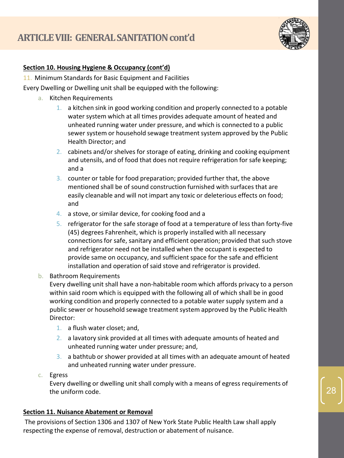

# **Section 10. Housing Hygiene & Occupancy (cont'd)**

11. Minimum Standards for Basic Equipment and Facilities

Every Dwelling or Dwelling unit shall be equipped with the following:

- a. Kitchen Requirements
	- 1. a kitchen sink in good working condition and properly connected to a potable water system which at all times provides adequate amount of heated and unheated running water under pressure, and which is connected to a public sewer system or household sewage treatment system approved by the Public Health Director; and
	- 2. cabinets and/or shelves for storage of eating, drinking and cooking equipment and utensils, and of food that does not require refrigeration for safe keeping; and a
	- 3. counter or table for food preparation; provided further that, the above mentioned shall be of sound construction furnished with surfaces that are easily cleanable and will not impart any toxic or deleterious effects on food; and
	- 4. a stove, or similar device, for cooking food and a
	- 5. refrigerator for the safe storage of food at a temperature of less than forty-five (45) degrees Fahrenheit, which is properly installed with all necessary connections for safe, sanitary and efficient operation; provided that such stove and refrigerator need not be installed when the occupant is expected to provide same on occupancy, and sufficient space for the safe and efficient installation and operation of said stove and refrigerator is provided.
- b. Bathroom Requirements

Every dwelling unit shall have a non-habitable room which affords privacy to a person within said room which is equipped with the following all of which shall be in good working condition and properly connected to a potable water supply system and a public sewer or household sewage treatment system approved by the Public Health Director:

- 1. a flush water closet; and,
- 2. a lavatory sink provided at all times with adequate amounts of heated and unheated running water under pressure; and,
- 3. a bathtub or shower provided at all times with an adequate amount of heated and unheated running water under pressure.
- c. Egress

Every dwelling or dwelling unit shall comply with a means of egress requirements of the uniform code.

# **Section 11. Nuisance Abatement or Removal**

The provisions of Section 1306 and 1307 of New York State Public Health Law shall apply respecting the expense of removal, destruction or abatement of nuisance.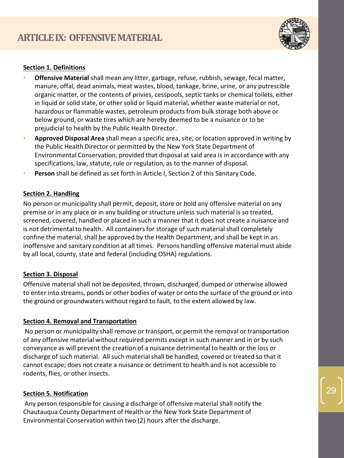

# **Section 1. Definitions**

- **Offensive Material** shall mean any litter, garbage, refuse, rubbish, sewage, fecal matter, manure, offal, dead animals, meat wastes, blood, tankage, brine, urine, or any putrescible organic matter, or the contents of privies, cesspools, septic tanks or chemical toilets, either in liquid or solid state, or other solid or liquid material, whether waste material or not, hazardous or flammable wastes, petroleum products from bulk storage both above or below ground, or waste tires which are hereby deemed to be a nuisance or to be prejudicial to health by the Public Health Director.
- **Approved Disposal Area** shall mean a specific area, site, or location approved in writing by the Public Health Director or permitted by the New York State Department of Environmental Conservation, provided that disposal at said area is in accordance with any specifications, law, statute, rule or regulation, as to the manner of disposal.
- **Person** shall be defined as set forth in Article I, Section 2 of this Sanitary Code.

#### **Section 2. Handling**

No person or municipality shall permit, deposit, store or hold any offensive material on any premise or in any place or in any building or structure unless such material is so treated, screened, covered, handled or placed in such a manner that it does not create a nuisance and is not detrimental to health. All containers for storage of such material shall completely confine the material, shall be approved by the Health Department, and shall be kept in an inoffensive and sanitary condition at all times. Persons handling offensive material must abide by all local, county, state and federal (including OSHA) regulations.

#### **Section 3. Disposal**

Offensive material shall not be deposited, thrown, discharged, dumped or otherwise allowed to enter into streams, ponds or other bodies of water or onto the surface of the ground or into the ground or groundwaters without regard to fault, to the extent allowed by law.

#### **Section 4. Removal and Transportation**

No person or municipality shall remove or transport, or permit the removal or transportation of any offensive material without required permits except in such manner and in or by such conveyance as will prevent the creation of a nuisance detrimental to health or the loss or discharge of such material. All such material shall be handled, covered or treated so that it cannot escape; does not create a nuisance or detriment to health and is not accessible to rodents, flies, or other insects.

# **Section 5. Notification**

Any person responsible for causing a discharge of offensive material shall notify the Chautauqua County Department of Health or the New York State Department of Environmental Conservation within two (2) hours after the discharge.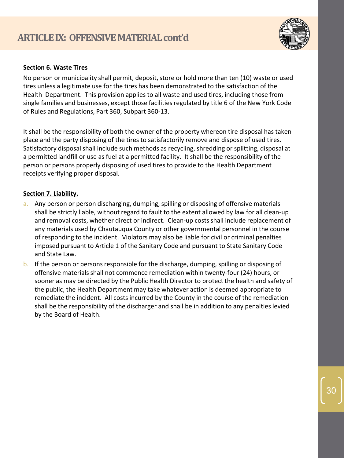

# **Section 6. Waste Tires**

No person or municipality shall permit, deposit, store or hold more than ten (10) waste or used tires unless a legitimate use for the tires has been demonstrated to the satisfaction of the Health Department. This provision applies to all waste and used tires, including those from single families and businesses, except those facilities regulated by title 6 of the New York Code of Rules and Regulations, Part 360, Subpart 360-13.

It shall be the responsibility of both the owner of the property whereon tire disposal has taken place and the party disposing of the tires to satisfactorily remove and dispose of used tires. Satisfactory disposal shall include such methods as recycling, shredding or splitting, disposal at a permitted landfill or use as fuel at a permitted facility. It shall be the responsibility of the person or persons properly disposing of used tires to provide to the Health Department receipts verifying proper disposal.

# **Section 7. Liability.**

- a. Any person or person discharging, dumping, spilling or disposing of offensive materials shall be strictly liable, without regard to fault to the extent allowed by law for all clean-up and removal costs, whether direct or indirect. Clean-up costs shall include replacement of any materials used by Chautauqua County or other governmental personnel in the course of responding to the incident. Violators may also be liable for civil or criminal penalties imposed pursuant to Article 1 of the Sanitary Code and pursuant to State Sanitary Code and State Law.
- b. If the person or persons responsible for the discharge, dumping, spilling or disposing of offensive materials shall not commence remediation within twenty-four (24) hours, or sooner as may be directed by the Public Health Director to protect the health and safety of the public, the Health Department may take whatever action is deemed appropriate to remediate the incident. All costs incurred by the County in the course of the remediation shall be the responsibility of the discharger and shall be in addition to any penalties levied by the Board of Health.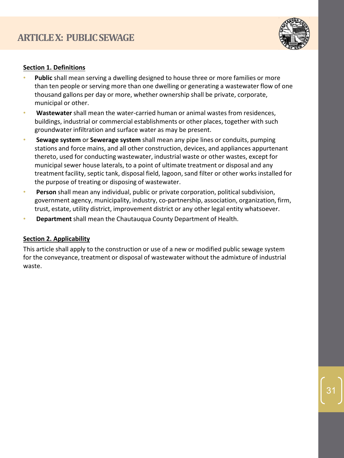

# **Section 1. Definitions**

- **Public** shall mean serving a dwelling designed to house three or more families or more than ten people or serving more than one dwelling or generating a wastewater flow of one thousand gallons per day or more, whether ownership shall be private, corporate, municipal or other.
- **Wastewater** shall mean the water-carried human or animal wastes from residences, buildings, industrial or commercial establishments or other places, together with such groundwater infiltration and surface water as may be present.
- **Sewage system** or **Sewerage system** shall mean any pipe lines or conduits, pumping stations and force mains, and all other construction, devices, and appliances appurtenant thereto, used for conducting wastewater, industrial waste or other wastes, except for municipal sewer house laterals, to a point of ultimate treatment or disposal and any treatment facility, septic tank, disposal field, lagoon, sand filter or other works installed for the purpose of treating or disposing of wastewater.
- **Person** shall mean any individual, public or private corporation, political subdivision, government agency, municipality, industry, co-partnership, association, organization, firm, trust, estate, utility district, improvement district or any other legal entity whatsoever.
- **Department** shall mean the Chautauqua County Department of Health.

# **Section 2. Applicability**

This article shall apply to the construction or use of a new or modified public sewage system for the conveyance, treatment or disposal of wastewater without the admixture of industrial waste.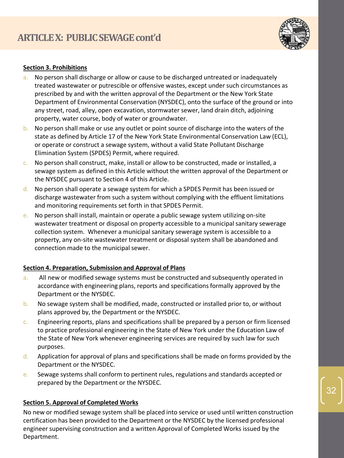

# **Section 3. Prohibitions**

- a. No person shall discharge or allow or cause to be discharged untreated or inadequately treated wastewater or putrescible or offensive wastes, except under such circumstances as prescribed by and with the written approval of the Department or the New York State Department of Environmental Conservation (NYSDEC), onto the surface of the ground or into any street, road, alley, open excavation, stormwater sewer, land drain ditch, adjoining property, water course, body of water or groundwater.
- b. No person shall make or use any outlet or point source of discharge into the waters of the state as defined by Article 17 of the New York State Environmental Conservation Law (ECL), or operate or construct a sewage system, without a valid State Pollutant Discharge Elimination System (SPDES) Permit, where required.
- c. No person shall construct, make, install or allow to be constructed, made or installed, a sewage system as defined in this Article without the written approval of the Department or the NYSDEC pursuant to Section 4 of this Article.
- d. No person shall operate a sewage system for which a SPDES Permit has been issued or discharge wastewater from such a system without complying with the effluent limitations and monitoring requirements set forth in that SPDES Permit.
- e. No person shall install, maintain or operate a public sewage system utilizing on-site wastewater treatment or disposal on property accessible to a municipal sanitary sewerage collection system. Whenever a municipal sanitary sewerage system is accessible to a property, any on-site wastewater treatment or disposal system shall be abandoned and connection made to the municipal sewer.

# **Section 4. Preparation, Submission and Approval of Plans**

- a. All new or modified sewage systems must be constructed and subsequently operated in accordance with engineering plans, reports and specifications formally approved by the Department or the NYSDEC.
- b. No sewage system shall be modified, made, constructed or installed prior to, or without plans approved by, the Department or the NYSDEC.
- c. Engineering reports, plans and specifications shall be prepared by a person or firm licensed to practice professional engineering in the State of New York under the Education Law of the State of New York whenever engineering services are required by such law for such purposes.
- $d.$  Application for approval of plans and specifications shall be made on forms provided by the Department or the NYSDEC.
- e. Sewage systems shall conform to pertinent rules, regulations and standards accepted or prepared by the Department or the NYSDEC.

# **Section 5. Approval of Completed Works**

No new or modified sewage system shall be placed into service or used until written construction certification has been provided to the Department or the NYSDEC by the licensed professional engineer supervising construction and a written Approval of Completed Works issued by the Department.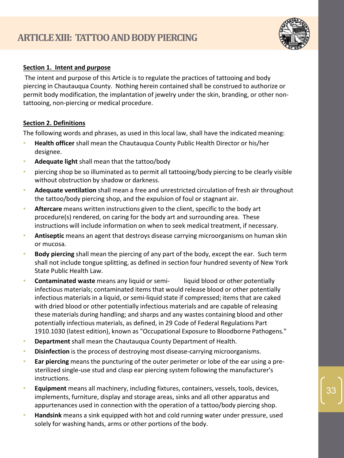

#### **Section 1. Intent and purpose**

The intent and purpose of this Article is to regulate the practices of tattooing and body piercing in Chautauqua County. Nothing herein contained shall be construed to authorize or permit body modification, the implantation of jewelry under the skin, branding, or other nontattooing, non-piercing or medical procedure.

#### **Section 2. Definitions**

The following words and phrases, as used in this local law, shall have the indicated meaning:

- **Health officer** shall mean the Chautauqua County Public Health Director or his/her designee.
- **Adequate light** shall mean that the tattoo/body
- piercing shop be so illuminated as to permit all tattooing/body piercing to be clearly visible without obstruction by shadow or darkness.
- **Adequate ventilation** shall mean a free and unrestricted circulation of fresh air throughout the tattoo/body piercing shop, and the expulsion of foul or stagnant air.
- **Aftercare** means written instructions given to the client, specific to the body art procedure(s) rendered, on caring for the body art and surrounding area. These instructions will include information on when to seek medical treatment, if necessary.
- **Antiseptic** means an agent that destroys disease carrying microorganisms on human skin or mucosa.
- **Body piercing** shall mean the piercing of any part of the body, except the ear. Such term shall not include tongue splitting, as defined in section four hundred seventy of New York State Public Health Law.
- **Contaminated waste** means any liquid or semi- liquid blood or other potentially infectious materials; contaminated items that would release blood or other potentially infectious materials in a liquid, or semi-liquid state if compressed; items that are caked with dried blood or other potentially infectious materials and are capable of releasing these materials during handling; and sharps and any wastes containing blood and other potentially infectious materials, as defined, in 29 Code of Federal Regulations Part 1910.1030 (latest edition), known as "Occupational Exposure to Bloodborne Pathogens."
- **Department** shall mean the Chautauqua County Department of Health.
- **Disinfection** is the process of destroying most disease-carrying microorganisms.
- **Ear piercing** means the puncturing of the outer perimeter or lobe of the ear using a presterilized single-use stud and clasp ear piercing system following the manufacturer's instructions.
- **Equipment** means all machinery, including fixtures, containers, vessels, tools, devices, implements, furniture, display and storage areas, sinks and all other apparatus and appurtenances used in connection with the operation of a tattoo/body piercing shop.
- **Handsink** means a sink equipped with hot and cold running water under pressure, used solely for washing hands, arms or other portions of the body.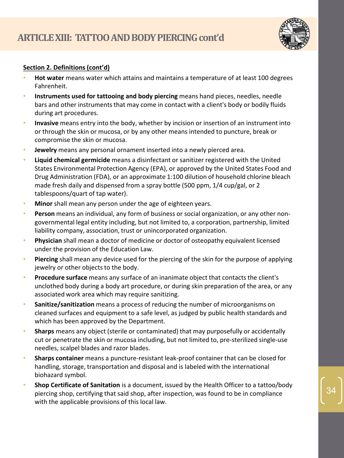

# **Section 2. Definitions (cont'd)**

- **Hot water** means water which attains and maintains a temperature of at least 100 degrees Fahrenheit.
- **Instruments used for tattooing and body piercing** means hand pieces, needles, needle bars and other instruments that may come in contact with a client's body or bodily fluids during art procedures.
- **Invasive** means entry into the body, whether by incision or insertion of an instrument into or through the skin or mucosa, or by any other means intended to puncture, break or compromise the skin or mucosa.
- **Jewelry** means any personal ornament inserted into a newly pierced area.
- **Liquid chemical germicide** means a disinfectant or sanitizer registered with the United States Environmental Protection Agency (EPA), or approved by the United States Food and Drug Administration (FDA), or an approximate 1:100 dilution of household chlorine bleach made fresh daily and dispensed from a spray bottle (500 ppm, 1/4 cup/gal, or 2 tablespoons/quart of tap water).
- **Minor** shall mean any person under the age of eighteen years.
- **Person** means an individual, any form of business or social organization, or any other nongovernmental legal entity including, but not limited to, a corporation, partnership, limited liability company, association, trust or unincorporated organization.
- **Physician** shall mean a doctor of medicine or doctor of osteopathy equivalent licensed under the provision of the Education Law.
- **Piercing** shall mean any device used for the piercing of the skin for the purpose of applying jewelry or other objects to the body.
- **Procedure surface** means any surface of an inanimate object that contacts the client's unclothed body during a body art procedure, or during skin preparation of the area, or any associated work area which may require sanitizing.
- **Sanitize/sanitization** means a process of reducing the number of microorganisms on cleaned surfaces and equipment to a safe level, as judged by public health standards and which has been approved by the Department.
- **Sharps** means any object (sterile or contaminated) that may purposefully or accidentally cut or penetrate the skin or mucosa including, but not limited to, pre-sterilized single-use needles, scalpel blades and razor blades.
- **Sharps container** means a puncture-resistant leak-proof container that can be closed for handling, storage, transportation and disposal and is labeled with the international biohazard symbol.
- **Shop Certificate of Sanitation** is a document, issued by the Health Officer to a tattoo/body piercing shop, certifying that said shop, after inspection, was found to be in compliance with the applicable provisions of this local law.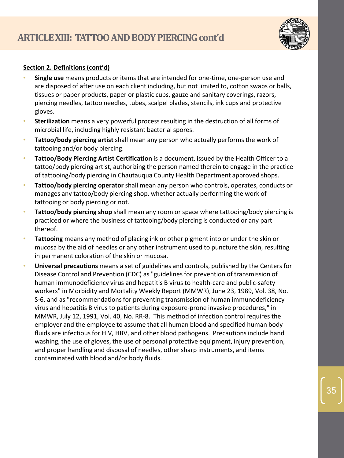

# **Section 2. Definitions (cont'd)**

- **Single use** means products or items that are intended for one-time, one-person use and are disposed of after use on each client including, but not limited to, cotton swabs or balls, tissues or paper products, paper or plastic cups, gauze and sanitary coverings, razors, piercing needles, tattoo needles, tubes, scalpel blades, stencils, ink cups and protective gloves.
- **Sterilization** means a very powerful process resulting in the destruction of all forms of microbial life, including highly resistant bacterial spores.
- **Tattoo/body piercing artist** shall mean any person who actually performs the work of tattooing and/or body piercing.
- **Tattoo/Body Piercing Artist Certification** is a document, issued by the Health Officer to a tattoo/body piercing artist, authorizing the person named therein to engage in the practice of tattooing/body piercing in Chautauqua County Health Department approved shops.
- **Tattoo/body piercing operator** shall mean any person who controls, operates, conducts or manages any tattoo/body piercing shop, whether actually performing the work of tattooing or body piercing or not.
- **Tattoo/body piercing shop** shall mean any room or space where tattooing/body piercing is practiced or where the business of tattooing/body piercing is conducted or any part thereof.
- **Tattooing** means any method of placing ink or other pigment into or under the skin or mucosa by the aid of needles or any other instrument used to puncture the skin, resulting in permanent coloration of the skin or mucosa.
- **Universal precautions** means a set of guidelines and controls, published by the Centers for Disease Control and Prevention (CDC) as "guidelines for prevention of transmission of human immunodeficiency virus and hepatitis B virus to health-care and public-safety workers" in Morbidity and Mortality Weekly Report (MMWR), June 23, 1989, Vol. 38, No. S-6, and as "recommendations for preventing transmission of human immunodeficiency virus and hepatitis B virus to patients during exposure-prone invasive procedures," in MMWR, July 12, 1991, Vol. 40, No. RR-8. This method of infection control requires the employer and the employee to assume that all human blood and specified human body fluids are infectious for HIV, HBV, and other blood pathogens. Precautions include hand washing, the use of gloves, the use of personal protective equipment, injury prevention, and proper handling and disposal of needles, other sharp instruments, and items contaminated with blood and/or body fluids.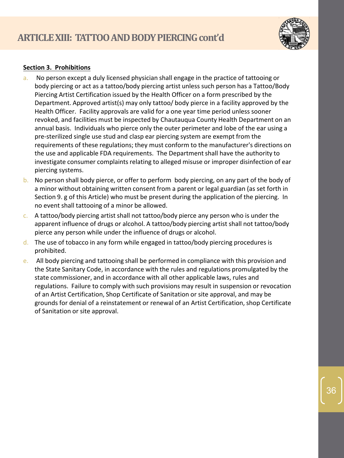

# **Section 3. Prohibitions**

- a. No person except a duly licensed physician shall engage in the practice of tattooing or body piercing or act as a tattoo/body piercing artist unless such person has a Tattoo/Body Piercing Artist Certification issued by the Health Officer on a form prescribed by the Department. Approved artist(s) may only tattoo/ body pierce in a facility approved by the Health Officer. Facility approvals are valid for a one year time period unless sooner revoked, and facilities must be inspected by Chautauqua County Health Department on an annual basis. Individuals who pierce only the outer perimeter and lobe of the ear using a pre-sterilized single use stud and clasp ear piercing system are exempt from the requirements of these regulations; they must conform to the manufacturer's directions on the use and applicable FDA requirements. The Department shall have the authority to investigate consumer complaints relating to alleged misuse or improper disinfection of ear piercing systems.
- b. No person shall body pierce, or offer to perform body piercing, on any part of the body of a minor without obtaining written consent from a parent or legal guardian (as set forth in Section 9. g of this Article) who must be present during the application of the piercing. In no event shall tattooing of a minor be allowed.
- c. A tattoo/body piercing artist shall not tattoo/body pierce any person who is under the apparent influence of drugs or alcohol. A tattoo/body piercing artist shall not tattoo/body pierce any person while under the influence of drugs or alcohol.
- d. The use of tobacco in any form while engaged in tattoo/body piercing procedures is prohibited.
- e. All body piercing and tattooing shall be performed in compliance with this provision and the State Sanitary Code, in accordance with the rules and regulations promulgated by the state commissioner, and in accordance with all other applicable laws, rules and regulations. Failure to comply with such provisions may result in suspension or revocation of an Artist Certification, Shop Certificate of Sanitation or site approval, and may be grounds for denial of a reinstatement or renewal of an Artist Certification, shop Certificate of Sanitation or site approval.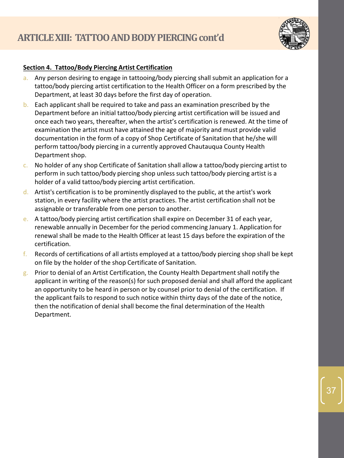

# **Section 4. Tattoo/Body Piercing Artist Certification**

- a. Any person desiring to engage in tattooing/body piercing shall submit an application for a tattoo/body piercing artist certification to the Health Officer on a form prescribed by the Department, at least 30 days before the first day of operation.
- b. Each applicant shall be required to take and pass an examination prescribed by the Department before an initial tattoo/body piercing artist certification will be issued and once each two years, thereafter, when the artist's certification is renewed. At the time of examination the artist must have attained the age of majority and must provide valid documentation in the form of a copy of Shop Certificate of Sanitation that he/she will perform tattoo/body piercing in a currently approved Chautauqua County Health Department shop.
- c. No holder of any shop Certificate of Sanitation shall allow a tattoo/body piercing artist to perform in such tattoo/body piercing shop unless such tattoo/body piercing artist is a holder of a valid tattoo/body piercing artist certification.
- $d.$  Artist's certification is to be prominently displayed to the public, at the artist's work station, in every facility where the artist practices. The artist certification shall not be assignable or transferable from one person to another.
- e. A tattoo/body piercing artist certification shall expire on December 31 of each year, renewable annually in December for the period commencing January 1. Application for renewal shall be made to the Health Officer at least 15 days before the expiration of the certification.
- f. Records of certifications of all artists employed at a tattoo/body piercing shop shall be kept on file by the holder of the shop Certificate of Sanitation.
- $g_i$ . Prior to denial of an Artist Certification, the County Health Department shall notify the applicant in writing of the reason(s) for such proposed denial and shall afford the applicant an opportunity to be heard in person or by counsel prior to denial of the certification. If the applicant fails to respond to such notice within thirty days of the date of the notice, then the notification of denial shall become the final determination of the Health Department.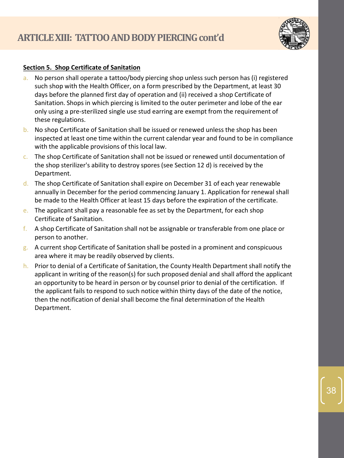

#### **Section 5. Shop Certificate of Sanitation**

- a. No person shall operate a tattoo/body piercing shop unless such person has (i) registered such shop with the Health Officer, on a form prescribed by the Department, at least 30 days before the planned first day of operation and (ii) received a shop Certificate of Sanitation. Shops in which piercing is limited to the outer perimeter and lobe of the ear only using a pre-sterilized single use stud earring are exempt from the requirement of these regulations.
- b. No shop Certificate of Sanitation shall be issued or renewed unless the shop has been inspected at least one time within the current calendar year and found to be in compliance with the applicable provisions of this local law.
- c. The shop Certificate of Sanitation shall not be issued or renewed until documentation of the shop sterilizer's ability to destroy spores (see Section 12 d) is received by the Department.
- d. The shop Certificate of Sanitation shall expire on December 31 of each year renewable annually in December for the period commencing January 1. Application for renewal shall be made to the Health Officer at least 15 days before the expiration of the certificate.
- e. The applicant shall pay a reasonable fee as set by the Department, for each shop Certificate of Sanitation.
- f. A shop Certificate of Sanitation shall not be assignable or transferable from one place or person to another.
- $g_a$ . A current shop Certificate of Sanitation shall be posted in a prominent and conspicuous area where it may be readily observed by clients.
- h. Prior to denial of a Certificate of Sanitation, the County Health Department shall notify the applicant in writing of the reason(s) for such proposed denial and shall afford the applicant an opportunity to be heard in person or by counsel prior to denial of the certification. If the applicant fails to respond to such notice within thirty days of the date of the notice, then the notification of denial shall become the final determination of the Health Department.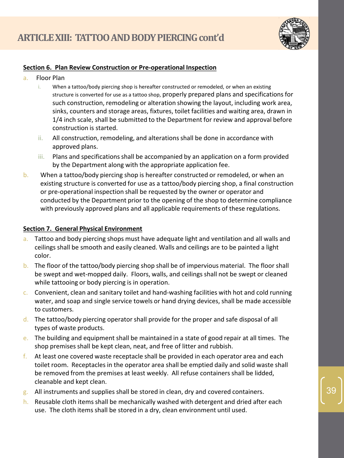

#### **Section 6. Plan Review Construction or Pre-operational Inspection**

- a. Floor Plan
	- i. When a tattoo/body piercing shop is hereafter constructed or remodeled, or when an existing structure is converted for use as a tattoo shop, properly prepared plans and specifications for such construction, remodeling or alteration showing the layout, including work area, sinks, counters and storage areas, fixtures, toilet facilities and waiting area, drawn in 1/4 inch scale, shall be submitted to the Department for review and approval before construction is started.
	- ii. All construction, remodeling, and alterations shall be done in accordance with approved plans.
	- iii. Plans and specifications shall be accompanied by an application on a form provided by the Department along with the appropriate application fee.
- b. When a tattoo/body piercing shop is hereafter constructed or remodeled, or when an existing structure is converted for use as a tattoo/body piercing shop, a final construction or pre-operational inspection shall be requested by the owner or operator and conducted by the Department prior to the opening of the shop to determine compliance with previously approved plans and all applicable requirements of these regulations.

# **Section 7. General Physical Environment**

- a. Tattoo and body piercing shops must have adequate light and ventilation and all walls and ceilings shall be smooth and easily cleaned. Walls and ceilings are to be painted a light color.
- b. The floor of the tattoo/body piercing shop shall be of impervious material. The floor shall be swept and wet-mopped daily. Floors, walls, and ceilings shall not be swept or cleaned while tattooing or body piercing is in operation.
- c. Convenient, clean and sanitary toilet and hand-washing facilities with hot and cold running water, and soap and single service towels or hand drying devices, shall be made accessible to customers.
- d. The tattoo/body piercing operator shall provide for the proper and safe disposal of all types of waste products.
- e. The building and equipment shall be maintained in a state of good repair at all times. The shop premises shall be kept clean, neat, and free of litter and rubbish.
- f. At least one covered waste receptacle shall be provided in each operator area and each toilet room. Receptacles in the operator area shall be emptied daily and solid waste shall be removed from the premises at least weekly. All refuse containers shall be lidded, cleanable and kept clean.
- g. All instruments and supplies shall be stored in clean, dry and covered containers.
- h. Reusable cloth items shall be mechanically washed with detergent and dried after each use. The cloth items shall be stored in a dry, clean environment until used.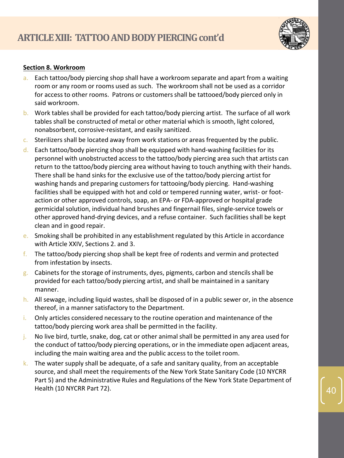

#### **Section 8. Workroom**

- a. Each tattoo/body piercing shop shall have a workroom separate and apart from a waiting room or any room or rooms used as such. The workroom shall not be used as a corridor for access to other rooms. Patrons or customers shall be tattooed/body pierced only in said workroom.
- b. Work tables shall be provided for each tattoo/body piercing artist. The surface of all work tables shall be constructed of metal or other material which is smooth, light colored, nonabsorbent, corrosive-resistant, and easily sanitized.
- c. Sterilizers shall be located away from work stations or areas frequented by the public.
- $d.$  Each tattoo/body piercing shop shall be equipped with hand-washing facilities for its personnel with unobstructed access to the tattoo/body piercing area such that artists can return to the tattoo/body piercing area without having to touch anything with their hands. There shall be hand sinks for the exclusive use of the tattoo/body piercing artist for washing hands and preparing customers for tattooing/body piercing. Hand-washing facilities shall be equipped with hot and cold or tempered running water, wrist- or footaction or other approved controls, soap, an EPA- or FDA-approved or hospital grade germicidal solution, individual hand brushes and fingernail files, single-service towels or other approved hand-drying devices, and a refuse container. Such facilities shall be kept clean and in good repair.
- e. Smoking shall be prohibited in any establishment regulated by this Article in accordance with Article XXIV, Sections 2. and 3.
- f. The tattoo/body piercing shop shall be kept free of rodents and vermin and protected from infestation by insects.
- g. Cabinets for the storage of instruments, dyes, pigments, carbon and stencils shall be provided for each tattoo/body piercing artist, and shall be maintained in a sanitary manner.
- h. All sewage, including liquid wastes, shall be disposed of in a public sewer or, in the absence thereof, in a manner satisfactory to the Department.
- i. Only articles considered necessary to the routine operation and maintenance of the tattoo/body piercing work area shall be permitted in the facility.
- j. No live bird, turtle, snake, dog, cat or other animal shall be permitted in any area used for the conduct of tattoo/body piercing operations, or in the immediate open adjacent areas, including the main waiting area and the public access to the toilet room.
- k. The water supply shall be adequate, of a safe and sanitary quality, from an acceptable source, and shall meet the requirements of the New York State Sanitary Code (10 NYCRR Part 5) and the Administrative Rules and Regulations of the New York State Department of Health (10 NYCRR Part 72).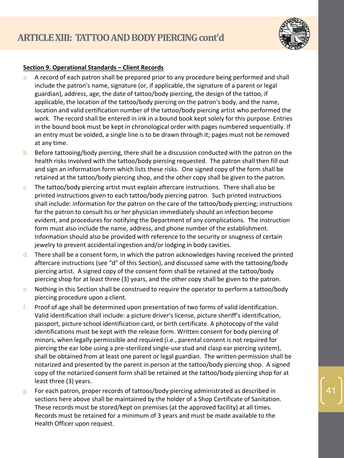

#### **Section 9. Operational Standards – Client Records**

- a. A record of each patron shall be prepared prior to any procedure being performed and shall include the patron's name, signature (or, if applicable, the signature of a parent or legal guardian), address, age, the date of tattoo/body piercing, the design of the tattoo, if applicable, the location of the tattoo/body piercing on the patron's body, and the name, location and valid certification number of the tattoo/body piercing artist who performed the work. The record shall be entered in ink in a bound book kept solely for this purpose. Entries in the bound book must be kept in chronological order with pages numbered sequentially. If an entry must be voided, a single line is to be drawn through it; pages must not be removed at any time.
- b. Before tattooing/body piercing, there shall be a discussion conducted with the patron on the health risks involved with the tattoo/body piercing requested. The patron shall then fill out and sign an information form which lists these risks. One signed copy of the form shall be retained at the tattoo/body piercing shop, and the other copy shall be given to the patron.
- c. The tattoo/body piercing artist must explain aftercare instructions. There shall also be printed instructions given to each tattoo/body piercing patron. Such printed instructions shall include: information for the patron on the care of the tattoo/body piercing; instructions for the patron to consult his or her physician immediately should an infection become evident, and procedures for notifying the Department of any complications. The instruction form must also include the name, address, and phone number of the establishment. Information should also be provided with reference to the security or snugness of certain jewelry to prevent accidental ingestion and/or lodging in body cavities.
- $d.$  There shall be a consent form, in which the patron acknowledges having received the printed aftercare instructions (see "d" of this Section), and discussed same with the tattooing/body piercing artist. A signed copy of the consent form shall be retained at the tattoo/body piercing shop for at least three (3) years, and the other copy shall be given to the patron.
- e. Nothing in this Section shall be construed to require the operator to perform a tattoo/body piercing procedure upon a client.
- f. Proof of age shall be determined upon presentation of two forms of valid identification. Valid identification shall include: a picture driver's license, picture sheriff's identification, passport, picture school identification card, or birth certificate. A photocopy of the valid identifications must be kept with the release form. Written consent for body piercing of minors, when legally permissible and required (i.e., parental consent is not required for piercing the ear lobe using a pre-sterilized single-use stud and clasp ear piercing system), shall be obtained from at least one parent or legal guardian. The written permission shall be notarized and presented by the parent in person at the tattoo/body piercing shop. A signed copy of the notarized consent form shall be retained at the tattoo/body piercing shop for at least three (3) years.
- g. For each patron, proper records of tattoos/body piercing administrated as described in sections here above shall be maintained by the holder of a Shop Certificate of Sanitation. These records must be stored/kept on premises (at the approved facility) at all times. Records must be retained for a minimum of 3 years and must be made available to the Health Officer upon request.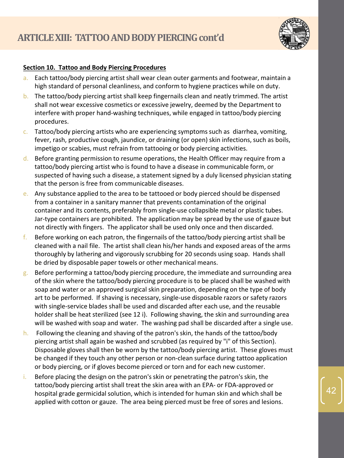

# **Section 10. Tattoo and Body Piercing Procedures**

- a. Each tattoo/body piercing artist shall wear clean outer garments and footwear, maintain a high standard of personal cleanliness, and conform to hygiene practices while on duty.
- b. The tattoo/body piercing artist shall keep fingernails clean and neatly trimmed. The artist shall not wear excessive cosmetics or excessive jewelry, deemed by the Department to interfere with proper hand-washing techniques, while engaged in tattoo/body piercing procedures.
- $c.$  Tattoo/body piercing artists who are experiencing symptoms such as diarrhea, vomiting, fever, rash, productive cough, jaundice, or draining (or open) skin infections, such as boils, impetigo or scabies, must refrain from tattooing or body piercing activities.
- d. Before granting permission to resume operations, the Health Officer may require from a tattoo/body piercing artist who is found to have a disease in communicable form, or suspected of having such a disease, a statement signed by a duly licensed physician stating that the person is free from communicable diseases.
- e. Any substance applied to the area to be tattooed or body pierced should be dispensed from a container in a sanitary manner that prevents contamination of the original container and its contents, preferably from single-use collapsible metal or plastic tubes. Jar-type containers are prohibited. The application may be spread by the use of gauze but not directly with fingers. The applicator shall be used only once and then discarded.
- f. Before working on each patron, the fingernails of the tattoo/body piercing artist shall be cleaned with a nail file. The artist shall clean his/her hands and exposed areas of the arms thoroughly by lathering and vigorously scrubbing for 20 seconds using soap. Hands shall be dried by disposable paper towels or other mechanical means.
- g. Before performing a tattoo/body piercing procedure, the immediate and surrounding area of the skin where the tattoo/body piercing procedure is to be placed shall be washed with soap and water or an approved surgical skin preparation, depending on the type of body art to be performed. If shaving is necessary, single-use disposable razors or safety razors with single-service blades shall be used and discarded after each use, and the reusable holder shall be heat sterilized (see 12 i). Following shaving, the skin and surrounding area will be washed with soap and water. The washing pad shall be discarded after a single use.
- h. Following the cleaning and shaving of the patron's skin, the hands of the tattoo/body piercing artist shall again be washed and scrubbed (as required by "i" of this Section). Disposable gloves shall then be worn by the tattoo/body piercing artist. These gloves must be changed if they touch any other person or non-clean surface during tattoo application or body piercing, or if gloves become pierced or torn and for each new customer.
- i. Before placing the design on the patron's skin or penetrating the patron's skin, the tattoo/body piercing artist shall treat the skin area with an EPA- or FDA-approved or hospital grade germicidal solution, which is intended for human skin and which shall be applied with cotton or gauze. The area being pierced must be free of sores and lesions.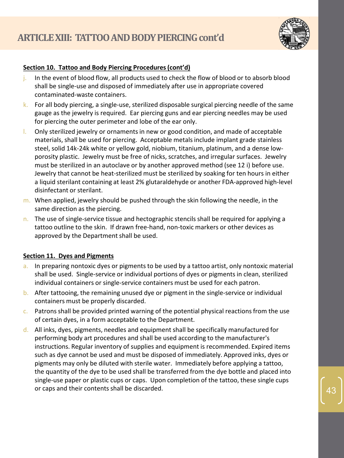

# **Section 10. Tattoo and Body Piercing Procedures (cont'd)**

- j. In the event of blood flow, all products used to check the flow of blood or to absorb blood shall be single-use and disposed of immediately after use in appropriate covered contaminated-waste containers.
- k. For all body piercing, a single-use, sterilized disposable surgical piercing needle of the same gauge as the jewelry is required. Ear piercing guns and ear piercing needles may be used for piercing the outer perimeter and lobe of the ear only.
- l. Only sterilized jewelry or ornaments in new or good condition, and made of acceptable materials, shall be used for piercing. Acceptable metals include implant grade stainless steel, solid 14k-24k white or yellow gold, niobium, titanium, platinum, and a dense lowporosity plastic. Jewelry must be free of nicks, scratches, and irregular surfaces. Jewelry must be sterilized in an autoclave or by another approved method (see 12 i) before use. Jewelry that cannot be heat-sterilized must be sterilized by soaking for ten hours in either a liquid sterilant containing at least 2% glutaraldehyde or another FDA-approved high-level disinfectant or sterilant.
- m. When applied, jewelry should be pushed through the skin following the needle, in the same direction as the piercing.
- n. The use of single-service tissue and hectographic stencils shall be required for applying a tattoo outline to the skin. If drawn free-hand, non-toxic markers or other devices as approved by the Department shall be used.

# **Section 11. Dyes and Pigments**

- a. In preparing nontoxic dyes or pigments to be used by a tattoo artist, only nontoxic material shall be used. Single-service or individual portions of dyes or pigments in clean, sterilized individual containers or single-service containers must be used for each patron.
- b. After tattooing, the remaining unused dye or pigment in the single-service or individual containers must be properly discarded.
- $c.$  Patrons shall be provided printed warning of the potential physical reactions from the use of certain dyes, in a form acceptable to the Department.
- d. All inks, dyes, pigments, needles and equipment shall be specifically manufactured for performing body art procedures and shall be used according to the manufacturer's instructions. Regular inventory of supplies and equipment is recommended. Expired items such as dye cannot be used and must be disposed of immediately. Approved inks, dyes or pigments may only be diluted with sterile water. Immediately before applying a tattoo, the quantity of the dye to be used shall be transferred from the dye bottle and placed into single-use paper or plastic cups or caps. Upon completion of the tattoo, these single cups or caps and their contents shall be discarded.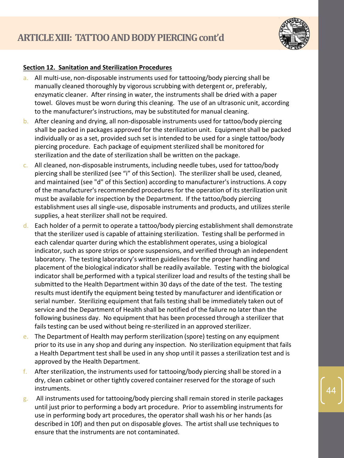

#### **Section 12. Sanitation and Sterilization Procedures**

- a. All multi-use, non-disposable instruments used for tattooing/body piercing shall be manually cleaned thoroughly by vigorous scrubbing with detergent or, preferably, enzymatic cleaner. After rinsing in water, the instruments shall be dried with a paper towel. Gloves must be worn during this cleaning. The use of an ultrasonic unit, according to the manufacturer's instructions, may be substituted for manual cleaning.
- b. After cleaning and drying, all non-disposable instruments used for tattoo/body piercing shall be packed in packages approved for the sterilization unit. Equipment shall be packed individually or as a set, provided such set is intended to be used for a single tattoo/body piercing procedure. Each package of equipment sterilized shall be monitored for sterilization and the date of sterilization shall be written on the package.
- c. All cleaned, non-disposable instruments, including needle tubes, used for tattoo/body piercing shall be sterilized (see "i" of this Section). The sterilizer shall be used, cleaned, and maintained (see "d" of this Section) according to manufacturer's instructions. A copy of the manufacturer's recommended procedures for the operation of its sterilization unit must be available for inspection by the Department. If the tattoo/body piercing establishment uses all single-use, disposable instruments and products, and utilizes sterile supplies, a heat sterilizer shall not be required.
- d. Each holder of a permit to operate a tattoo/body piercing establishment shall demonstrate that the sterilizer used is capable of attaining sterilization. Testing shall be performed in each calendar quarter during which the establishment operates, using a biological indicator, such as spore strips or spore suspensions, and verified through an independent laboratory. The testing laboratory's written guidelines for the proper handling and placement of the biological indicator shall be readily available. Testing with the biological indicator shall be performed with a typical sterilizer load and results of the testing shall be submitted to the Health Department within 30 days of the date of the test. The testing results must identify the equipment being tested by manufacturer and identification or serial number. Sterilizing equipment that fails testing shall be immediately taken out of service and the Department of Health shall be notified of the failure no later than the following business day. No equipment that has been processed through a sterilizer that fails testing can be used without being re-sterilized in an approved sterilizer.
- e. The Department of Health may perform sterilization (spore) testing on any equipment prior to its use in any shop and during any inspection. No sterilization equipment that fails a Health Department test shall be used in any shop until it passes a sterilization test and is approved by the Health Department.
- f. After sterilization, the instruments used for tattooing/body piercing shall be stored in a dry, clean cabinet or other tightly covered container reserved for the storage of such instruments.
- $g$ . All instruments used for tattooing/body piercing shall remain stored in sterile packages until just prior to performing a body art procedure. Prior to assembling instruments for use in performing body art procedures, the operator shall wash his or her hands (as described in 10f) and then put on disposable gloves. The artist shall use techniques to ensure that the instruments are not contaminated.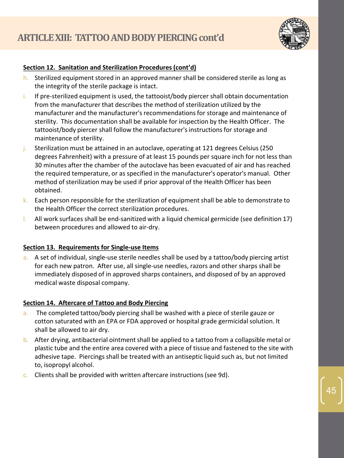

# **Section 12. Sanitation and Sterilization Procedures (cont'd)**

- h. Sterilized equipment stored in an approved manner shall be considered sterile as long as the integrity of the sterile package is intact.
- i. If pre-sterilized equipment is used, the tattooist/body piercer shall obtain documentation from the manufacturer that describes the method of sterilization utilized by the manufacturer and the manufacturer's recommendations for storage and maintenance of sterility. This documentation shall be available for inspection by the Health Officer. The tattooist/body piercer shall follow the manufacturer's instructions for storage and maintenance of sterility.
- j. Sterilization must be attained in an autoclave, operating at 121 degrees Celsius (250 degrees Fahrenheit) with a pressure of at least 15 pounds per square inch for not less than 30 minutes after the chamber of the autoclave has been evacuated of air and has reached the required temperature, or as specified in the manufacturer's operator's manual. Other method of sterilization may be used if prior approval of the Health Officer has been obtained.
- $k.$  Each person responsible for the sterilization of equipment shall be able to demonstrate to the Health Officer the correct sterilization procedures.
- l. All work surfaces shall be end-sanitized with a liquid chemical germicide (see definition 17) between procedures and allowed to air-dry.

# **Section 13. Requirements for Single-use Items**

a. A set of individual, single-use sterile needles shall be used by a tattoo/body piercing artist for each new patron. After use, all single-use needles, razors and other sharps shall be immediately disposed of in approved sharps containers, and disposed of by an approved medical waste disposal company.

# **Section 14. Aftercare of Tattoo and Body Piercing**

- a. The completed tattoo/body piercing shall be washed with a piece of sterile gauze or cotton saturated with an EPA or FDA approved or hospital grade germicidal solution. It shall be allowed to air dry.
- b. After drying, antibacterial ointment shall be applied to a tattoo from a collapsible metal or plastic tube and the entire area covered with a piece of tissue and fastened to the site with adhesive tape. Piercings shall be treated with an antiseptic liquid such as, but not limited to, isopropyl alcohol.
- c. Clients shall be provided with written aftercare instructions (see 9d).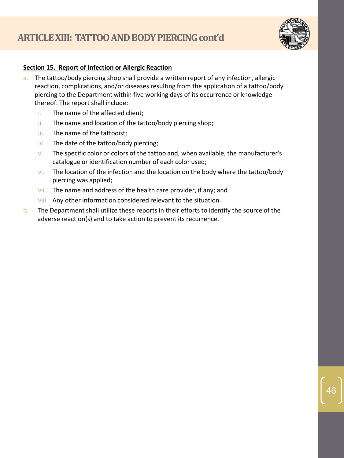

# **Section 15. Report of Infection or Allergic Reaction**

- a. The tattoo/body piercing shop shall provide a written report of any infection, allergic reaction, complications, and/or diseases resulting from the application of a tattoo/body piercing to the Department within five working days of its occurrence or knowledge thereof. The report shall include:
	- i. The name of the affected client;
	- ii. The name and location of the tattoo/body piercing shop;
	- iii. The name of the tattooist;
	- iv. The date of the tattoo/body piercing;
	- v. The specific color or colors of the tattoo and, when available, the manufacturer's catalogue or identification number of each color used;
	- vi. The location of the infection and the location on the body where the tattoo/body piercing was applied;
	- vii. The name and address of the health care provider, if any; and
	- viii. Any other information considered relevant to the situation.
- b. The Department shall utilize these reports in their efforts to identify the source of the adverse reaction(s) and to take action to prevent its recurrence.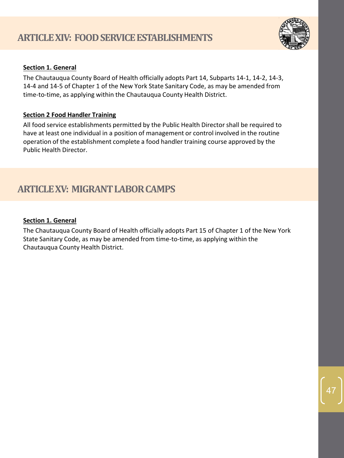

# **Section 1. General**

The Chautauqua County Board of Health officially adopts Part 14, Subparts 14-1, 14-2, 14-3, 14-4 and 14-5 of Chapter 1 of the New York State Sanitary Code, as may be amended from time-to-time, as applying within the Chautauqua County Health District.

# **Section 2 Food Handler Training**

All food service establishments permitted by the Public Health Director shall be required to have at least one individual in a position of management or control involved in the routine operation of the establishment complete a food handler training course approved by the Public Health Director.

# **ARTICLE XV: MIGRANT LABOR CAMPS**

# **Section 1. General**

The Chautauqua County Board of Health officially adopts Part 15 of Chapter 1 of the New York State Sanitary Code, as may be amended from time-to-time, as applying within the Chautauqua County Health District.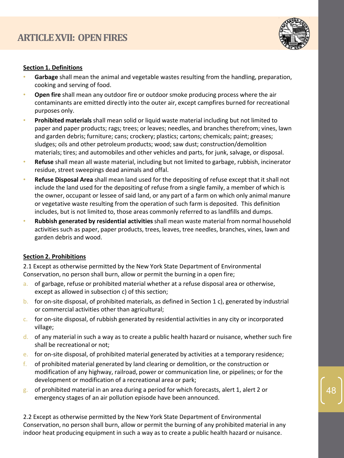

#### **Section 1. Definitions**

- **Garbage** shall mean the animal and vegetable wastes resulting from the handling, preparation, cooking and serving of food.
- **Open fire** shall mean any outdoor fire or outdoor smoke producing process where the air contaminants are emitted directly into the outer air, except campfires burned for recreational purposes only.
- **Prohibited materials** shall mean solid or liquid waste material including but not limited to paper and paper products; rags; trees; or leaves; needles, and branches therefrom; vines, lawn and garden debris; furniture; cans; crockery; plastics; cartons; chemicals; paint; greases; sludges; oils and other petroleum products; wood; saw dust; construction/demolition materials; tires; and automobiles and other vehicles and parts, for junk, salvage, or disposal.
- **Refuse** shall mean all waste material, including but not limited to garbage, rubbish, incinerator residue, street sweepings dead animals and offal.
- **Refuse Disposal Area** shall mean land used for the depositing of refuse except that it shall not include the land used for the depositing of refuse from a single family, a member of which is the owner, occupant or lessee of said land, or any part of a farm on which only animal manure or vegetative waste resulting from the operation of such farm is deposited. This definition includes, but is not limited to, those areas commonly referred to as landfills and dumps.
- **Rubbish generated by residential activities** shall mean waste material from normal household activities such as paper, paper products, trees, leaves, tree needles, branches, vines, lawn and garden debris and wood.

# **Section 2. Prohibitions**

2.1 Except as otherwise permitted by the New York State Department of Environmental Conservation, no person shall burn, allow or permit the burning in a open fire;

- a. of garbage, refuse or prohibited material whether at a refuse disposal area or otherwise, except as allowed in subsection c) of this section;
- b. for on-site disposal, of prohibited materials, as defined in Section 1 c), generated by industrial or commercial activities other than agricultural;
- c. for on-site disposal, of rubbish generated by residential activities in any city or incorporated village;
- d. of any material in such a way as to create a public health hazard or nuisance, whether such fire shall be recreational or not;
- e. for on-site disposal, of prohibited material generated by activities at a temporary residence;
- f. of prohibited material generated by land clearing or demolition, or the construction or modification of any highway, railroad, power or communication line, or pipelines; or for the development or modification of a recreational area or park;
- g. of prohibited material in an area during a period for which forecasts, alert 1, alert 2 or emergency stages of an air pollution episode have been announced.

2.2 Except as otherwise permitted by the New York State Department of Environmental Conservation, no person shall burn, allow or permit the burning of any prohibited material in any indoor heat producing equipment in such a way as to create a public health hazard or nuisance.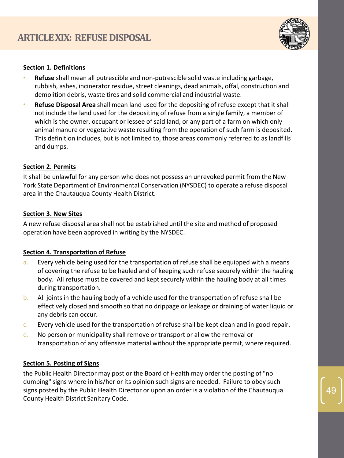

# **Section 1. Definitions**

- **Refuse** shall mean all putrescible and non-putrescible solid waste including garbage, rubbish, ashes, incinerator residue, street cleanings, dead animals, offal, construction and demolition debris, waste tires and solid commercial and industrial waste.
- **Refuse Disposal Area** shall mean land used for the depositing of refuse except that it shall not include the land used for the depositing of refuse from a single family, a member of which is the owner, occupant or lessee of said land, or any part of a farm on which only animal manure or vegetative waste resulting from the operation of such farm is deposited. This definition includes, but is not limited to, those areas commonly referred to as landfills and dumps.

# **Section 2. Permits**

It shall be unlawful for any person who does not possess an unrevoked permit from the New York State Department of Environmental Conservation (NYSDEC) to operate a refuse disposal area in the Chautauqua County Health District.

# **Section 3. New Sites**

A new refuse disposal area shall not be established until the site and method of proposed operation have been approved in writing by the NYSDEC.

# **Section 4. Transportation of Refuse**

- a. Every vehicle being used for the transportation of refuse shall be equipped with a means of covering the refuse to be hauled and of keeping such refuse securely within the hauling body. All refuse must be covered and kept securely within the hauling body at all times during transportation.
- b. All joints in the hauling body of a vehicle used for the transportation of refuse shall be effectively closed and smooth so that no drippage or leakage or draining of water liquid or any debris can occur.
- c. Every vehicle used for the transportation of refuse shall be kept clean and in good repair.
- d. No person or municipality shall remove or transport or allow the removal or transportation of any offensive material without the appropriate permit, where required.

# **Section 5. Posting of Signs**

the Public Health Director may post or the Board of Health may order the posting of "no dumping" signs where in his/her or its opinion such signs are needed. Failure to obey such signs posted by the Public Health Director or upon an order is a violation of the Chautauqua<br>County Health District Sanitary Code.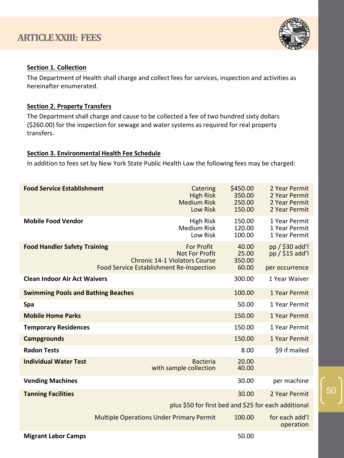

#### **Section 1. Collection**

The Department of Health shall charge and collect fees for services, inspection and activities as hereinafter enumerated.

#### **Section 2. Property Transfers**

The Department shall charge and cause to be collected a fee of two hundred sixty dollars (\$260.00) for the inspection for sewage and water systems as required for real property transfers.

#### **Section 3. Environmental Health Fee Schedule**

In addition to fees set by New York State Public Health Law the following fees may be charged:

| <b>Food Service Establishment</b>         | Catering<br><b>High Risk</b><br><b>Medium Risk</b><br>Low Risk                                                                        | \$450.00<br>350.00<br>250.00<br>150.00 | 2 Year Permit<br>2 Year Permit<br>2 Year Permit<br>2 Year Permit |
|-------------------------------------------|---------------------------------------------------------------------------------------------------------------------------------------|----------------------------------------|------------------------------------------------------------------|
| <b>Mobile Food Vendor</b>                 | <b>High Risk</b><br><b>Medium Risk</b><br>Low Risk                                                                                    | 150.00<br>120.00<br>100.00             | 1 Year Permit<br>1 Year Permit<br>1 Year Permit                  |
| <b>Food Handler Safety Training</b>       | <b>For Profit</b><br><b>Not For Profit</b><br><b>Chronic 14-1 Violators Course</b><br><b>Food Service Establishment Re-Inspection</b> | 40.00<br>25.00<br>350.00<br>60.00      | pp / \$30 add'l<br>pp / \$15 add'l<br>per occurrence             |
| <b>Clean Indoor Air Act Waivers</b>       |                                                                                                                                       | 300.00                                 | 1 Year Waiver                                                    |
| <b>Swimming Pools and Bathing Beaches</b> |                                                                                                                                       | 100.00                                 | 1 Year Permit                                                    |
| Spa                                       |                                                                                                                                       | 50.00                                  | 1 Year Permit                                                    |
| <b>Mobile Home Parks</b>                  |                                                                                                                                       | 150.00                                 | 1 Year Permit                                                    |
| <b>Temporary Residences</b>               |                                                                                                                                       | 150.00                                 | 1 Year Permit                                                    |
| <b>Campgrounds</b>                        |                                                                                                                                       | 150.00                                 | 1 Year Permit                                                    |
| <b>Radon Tests</b>                        |                                                                                                                                       | 8.00                                   | \$9 if mailed                                                    |
| <b>Individual Water Test</b>              | <b>Bacteria</b><br>with sample collection                                                                                             | 20.00<br>40.00                         |                                                                  |
| <b>Vending Machines</b>                   |                                                                                                                                       | 30.00                                  | per machine                                                      |
| <b>Tanning Facilities</b>                 |                                                                                                                                       | 30.00                                  | 2 Year Permit                                                    |
|                                           | plus \$50 for first bed and \$25 for each additional                                                                                  |                                        |                                                                  |
|                                           | <b>Multiple Operations Under Primary Permit</b>                                                                                       | 100.00                                 | for each add'l<br>operation                                      |
| <b>Migrant Labor Camps</b>                |                                                                                                                                       | 50.00                                  |                                                                  |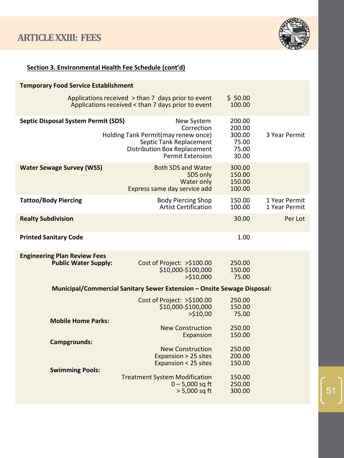

# **Section 3. Environmental Health Fee Schedule (cont'd)**

| <b>Temporary Food Service Establishment</b>                        |                                                                                                                                                              |                                                       |                                |
|--------------------------------------------------------------------|--------------------------------------------------------------------------------------------------------------------------------------------------------------|-------------------------------------------------------|--------------------------------|
|                                                                    | Applications received > than 7 days prior to event<br>Applications received < than 7 days prior to event                                                     | \$50.00<br>100.00                                     |                                |
| <b>Septic Disposal System Permit (SDS)</b>                         | New System<br>Correction<br>Holding Tank Permit(may renew once)<br>Septic Tank Replacement<br><b>Distribution Box Replacement</b><br><b>Permit Extension</b> | 200.00<br>200.00<br>300.00<br>75.00<br>75.00<br>30.00 | 3 Year Permit                  |
| <b>Water Sewage Survey (WSS)</b>                                   | <b>Both SDS and Water</b><br>SDS only<br>Water only<br>Express same day service add                                                                          | 300.00<br>150.00<br>150.00<br>100.00                  |                                |
| <b>Tattoo/Body Piercing</b>                                        | <b>Body Piercing Shop</b><br><b>Artist Certification</b>                                                                                                     | 150.00<br>100.00                                      | 1 Year Permit<br>1 Year Permit |
| <b>Realty Subdivision</b>                                          |                                                                                                                                                              | 30.00                                                 | Per Lot                        |
| <b>Printed Sanitary Code</b>                                       |                                                                                                                                                              | 1.00                                                  |                                |
| <b>Engineering Plan Review Fees</b><br><b>Public Water Supply:</b> | Cost of Project: >\$100.00<br>\$10,000-\$100,000<br>$>$ \$10,000                                                                                             | 250.00<br>150.00<br>75.00                             |                                |
|                                                                    | Municipal/Commercial Sanitary Sewer Extension - Onsite Sewage Disposal:                                                                                      |                                                       |                                |
| <b>Mobile Home Parks:</b>                                          | Cost of Project: >\$100.00<br>\$10,000-\$100,000<br>>510,00                                                                                                  | 250.00<br>150.00<br>75.00                             |                                |
|                                                                    | <b>New Construction</b><br>Expansion                                                                                                                         | 250.00<br>150.00                                      |                                |
| <b>Campgrounds:</b>                                                | <b>New Construction</b><br>Expansion > 25 sites<br>Expansion < 25 sites                                                                                      | 250.00<br>200.00<br>150.00                            |                                |
| <b>Swimming Pools:</b>                                             | <b>Treatment System Modification</b><br>$0 - 5,000$ sq ft<br>> 5,000 sq ft                                                                                   | 150.00<br>250.00<br>300.00                            |                                |

51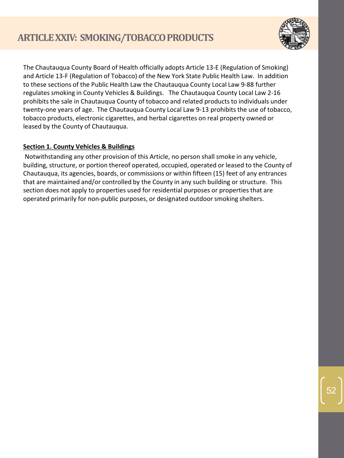

The Chautauqua County Board of Health officially adopts Article 13-E (Regulation of Smoking) and Article 13-F (Regulation of Tobacco) of the New York State Public Health Law. In addition to these sections of the Public Health Law the Chautauqua County Local Law 9-88 further regulates smoking in County Vehicles & Buildings. The Chautauqua County Local Law 2-16 prohibits the sale in Chautauqua County of tobacco and related products to individuals under twenty-one years of age. The Chautauqua County Local Law 9-13 prohibits the use of tobacco, tobacco products, electronic cigarettes, and herbal cigarettes on real property owned or leased by the County of Chautauqua.

# **Section 1. County Vehicles & Buildings**

Notwithstanding any other provision of this Article, no person shall smoke in any vehicle, building, structure, or portion thereof operated, occupied, operated or leased to the County of Chautauqua, its agencies, boards, or commissions or within fifteen (15) feet of any entrances that are maintained and/or controlled by the County in any such building or structure. This section does not apply to properties used for residential purposes or properties that are operated primarily for non-public purposes, or designated outdoor smoking shelters.